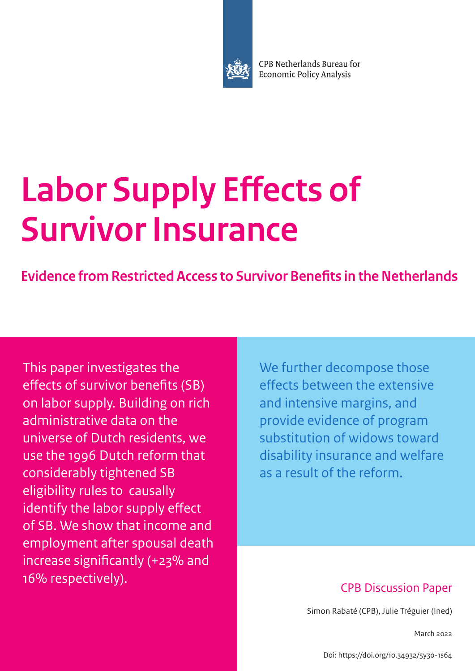

CPB Netherlands Bureau for **Economic Policy Analysis** 

# **Labor Supply Effects of Survivor Insurance**

**Evidence from Restricted Access to Survivor Benefits in the Netherlands**

This paper investigates the effects of survivor benefits (SB) on labor supply. Building on rich administrative data on the universe of Dutch residents, we use the 1996 Dutch reform that considerably tightened SB eligibility rules to causally identify the labor supply effect of SB. We show that income and employment after spousal death increase significantly (+23% and 16% respectively).

We further decompose those effects between the extensive and intensive margins, and provide evidence of program substitution of widows toward disability insurance and welfare as a result of the reform.

# CPB Discussion Paper

Simon Rabaté (CPB), Julie Tréguier (Ined)

March 2022

[Doi: https://doi.org/10.34932/5y30-1s64](https://doi.org/10.34932/5y30-1s64)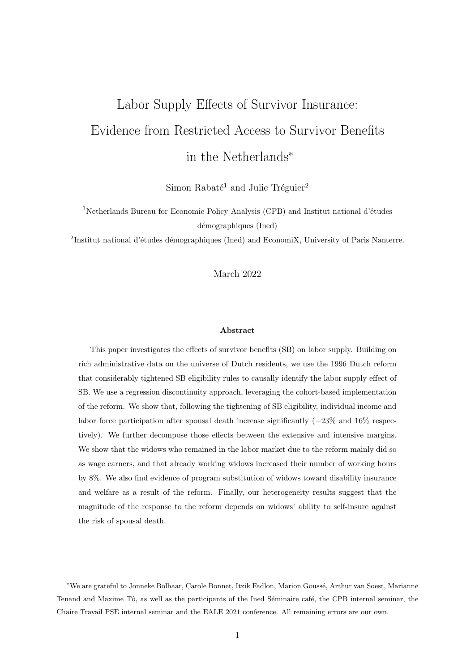# <span id="page-1-0"></span>Labor Supply Effects of Survivor Insurance: Evidence from Restricted Access to Survivor Benefits in the Netherlands<sup>∗</sup>

Simon Rabaté<sup>1</sup> and Julie Tréguier<sup>2</sup>

<sup>1</sup>Netherlands Bureau for Economic Policy Analysis (CPB) and Institut national d'études démographiques (Ined)

<sup>2</sup>Institut national d'études démographiques (Ined) and EconomiX, University of Paris Nanterre.

#### March 2022

#### Abstract

This paper investigates the effects of survivor benefits (SB) on labor supply. Building on rich administrative data on the universe of Dutch residents, we use the 1996 Dutch reform that considerably tightened SB eligibility rules to causally identify the labor supply effect of SB. We use a regression discontinuity approach, leveraging the cohort-based implementation of the reform. We show that, following the tightening of SB eligibility, individual income and labor force participation after spousal death increase significantly  $(+23\% \text{ and } 16\% \text{ respectively})$ tively). We further decompose those effects between the extensive and intensive margins. We show that the widows who remained in the labor market due to the reform mainly did so as wage earners, and that already working widows increased their number of working hours by 8%. We also find evidence of program substitution of widows toward disability insurance and welfare as a result of the reform. Finally, our heterogeneity results suggest that the magnitude of the response to the reform depends on widows' ability to self-insure against the risk of spousal death.

<sup>∗</sup>We are grateful to Jonneke Bolhaar, Carole Bonnet, Itzik Fadlon, Marion Gouss´e, Arthur van Soest, Marianne Tenand and Maxime Tô, as well as the participants of the Ined Séminaire café, the CPB internal seminar, the Chaire Travail PSE internal seminar and the EALE 2021 conference. All remaining errors are our own.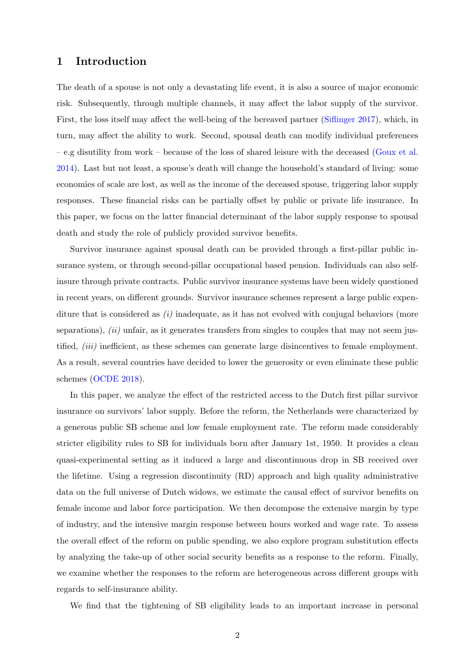# 1 Introduction

The death of a spouse is not only a devastating life event, it is also a source of major economic risk. Subsequently, through multiple channels, it may affect the labor supply of the survivor. First, the loss itself may affect the well-being of the bereaved partner [\(Siflinger](#page-32-0) [2017\)](#page-32-0), which, in turn, may affect the ability to work. Second, spousal death can modify individual preferences – e.g disutility from work – because of the loss of shared leisure with the deceased [\(Goux et al.](#page-31-0) [2014\)](#page-31-0). Last but not least, a spouse's death will change the household's standard of living: some economies of scale are lost, as well as the income of the deceased spouse, triggering labor supply responses. These financial risks can be partially offset by public or private life insurance. In this paper, we focus on the latter financial determinant of the labor supply response to spousal death and study the role of publicly provided survivor benefits.

Survivor insurance against spousal death can be provided through a first-pillar public insurance system, or through second-pillar occupational based pension. Individuals can also selfinsure through private contracts. Public survivor insurance systems have been widely questioned in recent years, on different grounds. Survivor insurance schemes represent a large public expenditure that is considered as  $(i)$  inadequate, as it has not evolved with conjugal behaviors (more separations),  $(ii)$  unfair, as it generates transfers from singles to couples that may not seem justified, *(iii)* inefficient, as these schemes can generate large disincentives to female employment. As a result, several countries have decided to lower the generosity or even eliminate these public schemes [\(OCDE](#page-32-1) [2018\)](#page-32-1).

In this paper, we analyze the effect of the restricted access to the Dutch first pillar survivor insurance on survivors' labor supply. Before the reform, the Netherlands were characterized by a generous public SB scheme and low female employment rate. The reform made considerably stricter eligibility rules to SB for individuals born after January 1st, 1950. It provides a clean quasi-experimental setting as it induced a large and discontinuous drop in SB received over the lifetime. Using a regression discontinuity (RD) approach and high quality administrative data on the full universe of Dutch widows, we estimate the causal effect of survivor benefits on female income and labor force participation. We then decompose the extensive margin by type of industry, and the intensive margin response between hours worked and wage rate. To assess the overall effect of the reform on public spending, we also explore program substitution effects by analyzing the take-up of other social security benefits as a response to the reform. Finally, we examine whether the responses to the reform are heterogeneous across different groups with regards to self-insurance ability.

We find that the tightening of SB eligibility leads to an important increase in personal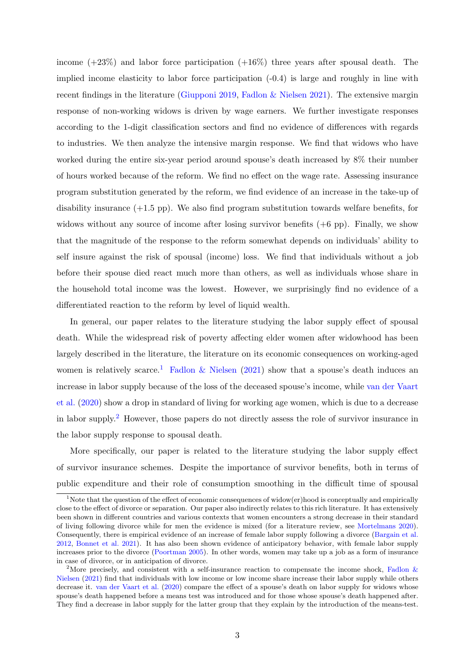income  $(+23\%)$  and labor force participation  $(+16\%)$  three years after spousal death. The implied income elasticity to labor force participation (-0.4) is large and roughly in line with recent findings in the literature [\(Giupponi](#page-31-1) [2019,](#page-31-1) [Fadlon & Nielsen](#page-30-0) [2021\)](#page-30-0). The extensive margin response of non-working widows is driven by wage earners. We further investigate responses according to the 1-digit classification sectors and find no evidence of differences with regards to industries. We then analyze the intensive margin response. We find that widows who have worked during the entire six-year period around spouse's death increased by 8% their number of hours worked because of the reform. We find no effect on the wage rate. Assessing insurance program substitution generated by the reform, we find evidence of an increase in the take-up of disability insurance  $(+1.5 \text{ pp})$ . We also find program substitution towards welfare benefits, for widows without any source of income after losing survivor benefits  $(+6 \text{ pp})$ . Finally, we show that the magnitude of the response to the reform somewhat depends on individuals' ability to self insure against the risk of spousal (income) loss. We find that individuals without a job before their spouse died react much more than others, as well as individuals whose share in the household total income was the lowest. However, we surprisingly find no evidence of a differentiated reaction to the reform by level of liquid wealth.

In general, our paper relates to the literature studying the labor supply effect of spousal death. While the widespread risk of poverty affecting elder women after widowhood has been largely described in the literature, the literature on its economic consequences on working-aged women is relatively scarce.<sup>[1](#page-1-0)</sup> [Fadlon & Nielsen](#page-30-0) [\(2021\)](#page-30-0) show that a spouse's death induces an increase in labor supply because of the loss of the deceased spouse's income, while [van der Vaart](#page-32-2) [et al.](#page-32-2) [\(2020\)](#page-32-2) show a drop in standard of living for working age women, which is due to a decrease in labor supply.[2](#page-1-0) However, those papers do not directly assess the role of survivor insurance in the labor supply response to spousal death.

More specifically, our paper is related to the literature studying the labor supply effect of survivor insurance schemes. Despite the importance of survivor benefits, both in terms of public expenditure and their role of consumption smoothing in the difficult time of spousal

<sup>&</sup>lt;sup>1</sup>Note that the question of the effect of economic consequences of widow(er)hood is conceptually and empirically close to the effect of divorce or separation. Our paper also indirectly relates to this rich literature. It has extensively been shown in different countries and various contexts that women encounters a strong decrease in their standard of living following divorce while for men the evidence is mixed (for a literature review, see [Mortelmans](#page-31-2) [2020\)](#page-31-2). Consequently, there is empirical evidence of an increase of female labor supply following a divorce [\(Bargain et al.](#page-30-1) [2012,](#page-30-1) [Bonnet et al.](#page-30-2) [2021\)](#page-30-2). It has also been shown evidence of anticipatory behavior, with female labor supply increases prior to the divorce [\(Poortman](#page-32-3) [2005\)](#page-32-3). In other words, women may take up a job as a form of insurance in case of divorce, or in anticipation of divorce.

<sup>&</sup>lt;sup>2</sup>More precisely, and consistent with a self-insurance reaction to compensate the income shock, [Fadlon &](#page-30-0) [Nielsen](#page-30-0) [\(2021\)](#page-30-0) find that individuals with low income or low income share increase their labor supply while others decrease it. [van der Vaart et al.](#page-32-2) [\(2020\)](#page-32-2) compare the effect of a spouse's death on labor supply for widows whose spouse's death happened before a means test was introduced and for those whose spouse's death happened after. They find a decrease in labor supply for the latter group that they explain by the introduction of the means-test.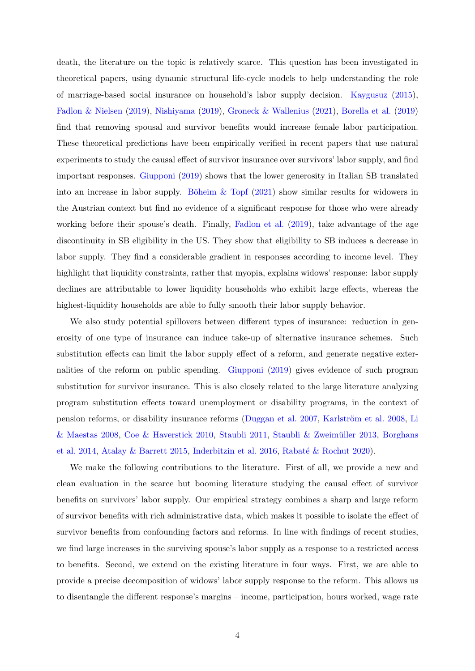death, the literature on the topic is relatively scarce. This question has been investigated in theoretical papers, using dynamic structural life-cycle models to help understanding the role of marriage-based social insurance on household's labor supply decision. [Kaygusuz](#page-31-3) [\(2015\)](#page-31-3), [Fadlon & Nielsen](#page-30-3) [\(2019\)](#page-30-3), [Nishiyama](#page-32-4) [\(2019\)](#page-32-4), [Groneck & Wallenius](#page-31-4) [\(2021\)](#page-31-4), [Borella et al.](#page-30-4) [\(2019\)](#page-30-4) find that removing spousal and survivor benefits would increase female labor participation. These theoretical predictions have been empirically verified in recent papers that use natural experiments to study the causal effect of survivor insurance over survivors' labor supply, and find important responses. [Giupponi](#page-31-1) [\(2019\)](#page-31-1) shows that the lower generosity in Italian SB translated into an increase in labor supply. Böheim  $&$  Topf [\(2021\)](#page-30-5) show similar results for widowers in the Austrian context but find no evidence of a significant response for those who were already working before their spouse's death. Finally, [Fadlon et al.](#page-31-5) [\(2019\)](#page-31-5), take advantage of the age discontinuity in SB eligibility in the US. They show that eligibility to SB induces a decrease in labor supply. They find a considerable gradient in responses according to income level. They highlight that liquidity constraints, rather that myopia, explains widows' response: labor supply declines are attributable to lower liquidity households who exhibit large effects, whereas the highest-liquidity households are able to fully smooth their labor supply behavior.

We also study potential spillovers between different types of insurance: reduction in generosity of one type of insurance can induce take-up of alternative insurance schemes. Such substitution effects can limit the labor supply effect of a reform, and generate negative externalities of the reform on public spending. [Giupponi](#page-31-1) [\(2019\)](#page-31-1) gives evidence of such program substitution for survivor insurance. This is also closely related to the large literature analyzing program substitution effects toward unemployment or disability programs, in the context of pension reforms, or disability insurance reforms [\(Duggan et al.](#page-30-6) [2007,](#page-30-6) Karlström et al. [2008,](#page-31-6) [Li](#page-31-7) [& Maestas](#page-31-7) [2008,](#page-31-7) [Coe & Haverstick](#page-30-7) [2010,](#page-30-7) [Staubli](#page-32-5) [2011,](#page-32-5) [Staubli & Zweim¨uller](#page-32-6) [2013,](#page-32-6) [Borghans](#page-30-8) [et al.](#page-30-8) [2014,](#page-30-8) [Atalay & Barrett](#page-30-9) [2015,](#page-30-9) [Inderbitzin et al.](#page-31-8) [2016,](#page-31-8) Rabaté & Rochut [2020\)](#page-32-7).

We make the following contributions to the literature. First of all, we provide a new and clean evaluation in the scarce but booming literature studying the causal effect of survivor benefits on survivors' labor supply. Our empirical strategy combines a sharp and large reform of survivor benefits with rich administrative data, which makes it possible to isolate the effect of survivor benefits from confounding factors and reforms. In line with findings of recent studies, we find large increases in the surviving spouse's labor supply as a response to a restricted access to benefits. Second, we extend on the existing literature in four ways. First, we are able to provide a precise decomposition of widows' labor supply response to the reform. This allows us to disentangle the different response's margins – income, participation, hours worked, wage rate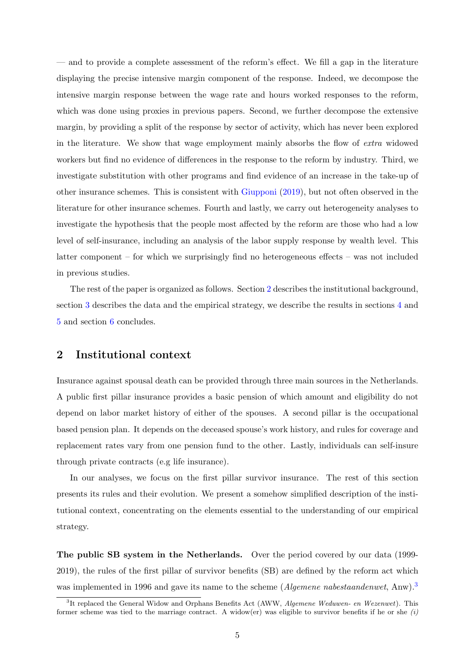— and to provide a complete assessment of the reform's effect. We fill a gap in the literature displaying the precise intensive margin component of the response. Indeed, we decompose the intensive margin response between the wage rate and hours worked responses to the reform, which was done using proxies in previous papers. Second, we further decompose the extensive margin, by providing a split of the response by sector of activity, which has never been explored in the literature. We show that wage employment mainly absorbs the flow of extra widowed workers but find no evidence of differences in the response to the reform by industry. Third, we investigate substitution with other programs and find evidence of an increase in the take-up of other insurance schemes. This is consistent with [Giupponi](#page-31-1) [\(2019\)](#page-31-1), but not often observed in the literature for other insurance schemes. Fourth and lastly, we carry out heterogeneity analyses to investigate the hypothesis that the people most affected by the reform are those who had a low level of self-insurance, including an analysis of the labor supply response by wealth level. This latter component – for which we surprisingly find no heterogeneous effects – was not included in previous studies.

The rest of the paper is organized as follows. Section [2](#page-5-0) describes the institutional background, section [3](#page-8-0) describes the data and the empirical strategy, we describe the results in sections [4](#page-12-0) and [5](#page-21-0) and section [6](#page-28-0) concludes.

# <span id="page-5-0"></span>2 Institutional context

Insurance against spousal death can be provided through three main sources in the Netherlands. A public first pillar insurance provides a basic pension of which amount and eligibility do not depend on labor market history of either of the spouses. A second pillar is the occupational based pension plan. It depends on the deceased spouse's work history, and rules for coverage and replacement rates vary from one pension fund to the other. Lastly, individuals can self-insure through private contracts (e.g life insurance).

In our analyses, we focus on the first pillar survivor insurance. The rest of this section presents its rules and their evolution. We present a somehow simplified description of the institutional context, concentrating on the elements essential to the understanding of our empirical strategy.

The public SB system in the Netherlands. Over the period covered by our data (1999- 2019), the rules of the first pillar of survivor benefits (SB) are defined by the reform act which was implemented in 1996 and gave its name to the scheme (*Algemene nabestaandenwet*, Anw).<sup>[3](#page-1-0)</sup>

<sup>&</sup>lt;sup>3</sup>It replaced the General Widow and Orphans Benefits Act (AWW, Algemene Weduwen- en Wezenwet). This former scheme was tied to the marriage contract. A widow(er) was eligible to survivor benefits if he or she  $(i)$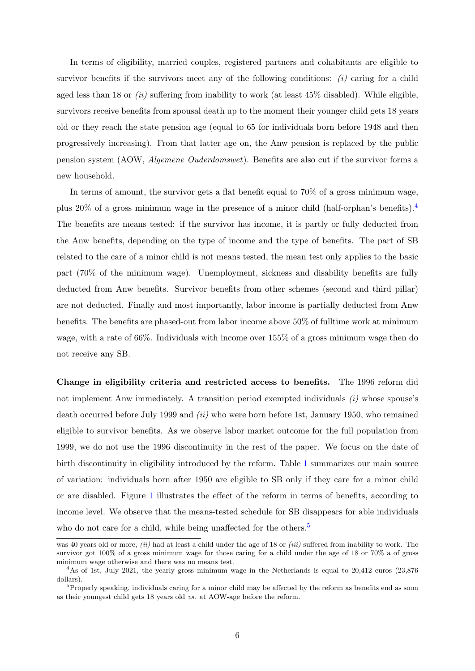In terms of eligibility, married couples, registered partners and cohabitants are eligible to survivor benefits if the survivors meet any of the following conditions:  $(i)$  caring for a child aged less than 18 or  $(ii)$  suffering from inability to work (at least 45% disabled). While eligible, survivors receive benefits from spousal death up to the moment their younger child gets 18 years old or they reach the state pension age (equal to 65 for individuals born before 1948 and then progressively increasing). From that latter age on, the Anw pension is replaced by the public pension system (AOW, Algemene Ouderdomswet). Benefits are also cut if the survivor forms a new household.

In terms of amount, the survivor gets a flat benefit equal to 70% of a gross minimum wage, plus 20% of a gross minimum wage in the presence of a minor child (half-orphan's benefits).<sup>[4](#page-1-0)</sup> The benefits are means tested: if the survivor has income, it is partly or fully deducted from the Anw benefits, depending on the type of income and the type of benefits. The part of SB related to the care of a minor child is not means tested, the mean test only applies to the basic part (70% of the minimum wage). Unemployment, sickness and disability benefits are fully deducted from Anw benefits. Survivor benefits from other schemes (second and third pillar) are not deducted. Finally and most importantly, labor income is partially deducted from Anw benefits. The benefits are phased-out from labor income above 50% of fulltime work at minimum wage, with a rate of 66%. Individuals with income over 155% of a gross minimum wage then do not receive any SB.

Change in eligibility criteria and restricted access to benefits. The 1996 reform did not implement Anw immediately. A transition period exempted individuals  $(i)$  whose spouse's death occurred before July 1999 and (ii) who were born before 1st, January 1950, who remained eligible to survivor benefits. As we observe labor market outcome for the full population from 1999, we do not use the 1996 discontinuity in the rest of the paper. We focus on the date of birth discontinuity in eligibility introduced by the reform. Table [1](#page-7-0) summarizes our main source of variation: individuals born after 1950 are eligible to SB only if they care for a minor child or are disabled. Figure [1](#page-7-1) illustrates the effect of the reform in terms of benefits, according to income level. We observe that the means-tested schedule for SB disappears for able individuals who do not care for a child, while being unaffected for the others.<sup>[5](#page-1-0)</sup>

was 40 years old or more, *(ii)* had at least a child under the age of 18 or *(iii)* suffered from inability to work. The survivor got 100% of a gross minimum wage for those caring for a child under the age of 18 or 70% a of gross minimum wage otherwise and there was no means test.

<sup>&</sup>lt;sup>4</sup>As of 1st, July 2021, the yearly gross minimum wage in the Netherlands is equal to 20,412 euros (23,876 dollars).

<sup>5</sup>Properly speaking, individuals caring for a minor child may be affected by the reform as benefits end as soon as their youngest child gets 18 years old vs. at AOW-age before the reform.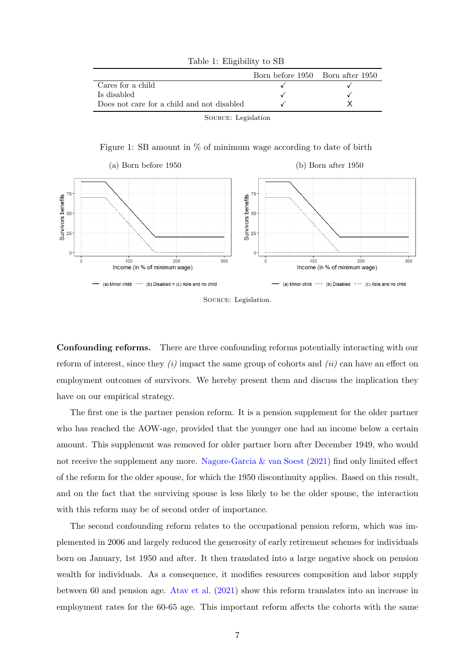<span id="page-7-0"></span>

|                                            | Born before 1950 Born after 1950 |  |
|--------------------------------------------|----------------------------------|--|
| Cares for a child                          |                                  |  |
| Is disabled                                |                                  |  |
| Does not care for a child and not disabled |                                  |  |

Table 1: Eligibility to SB

Source: Legislation

Figure 1: SB amount in % of minimum wage according to date of birth

<span id="page-7-1"></span>



Confounding reforms. There are three confounding reforms potentially interacting with our reform of interest, since they  $(i)$  impact the same group of cohorts and  $(ii)$  can have an effect on employment outcomes of survivors. We hereby present them and discuss the implication they have on our empirical strategy.

The first one is the partner pension reform. It is a pension supplement for the older partner who has reached the AOW-age, provided that the younger one had an income below a certain amount. This supplement was removed for older partner born after December 1949, who would not receive the supplement any more. [Nagore-Garcia & van Soest](#page-32-8) [\(2021\)](#page-32-8) find only limited effect of the reform for the older spouse, for which the 1950 discontinuity applies. Based on this result, and on the fact that the surviving spouse is less likely to be the older spouse, the interaction with this reform may be of second order of importance.

The second confounding reform relates to the occupational pension reform, which was implemented in 2006 and largely reduced the generosity of early retirement schemes for individuals born on January, 1st 1950 and after. It then translated into a large negative shock on pension wealth for individuals. As a consequence, it modifies resources composition and labor supply between 60 and pension age. [Atav et al.](#page-30-10) [\(2021\)](#page-30-10) show this reform translates into an increase in employment rates for the 60-65 age. This important reform affects the cohorts with the same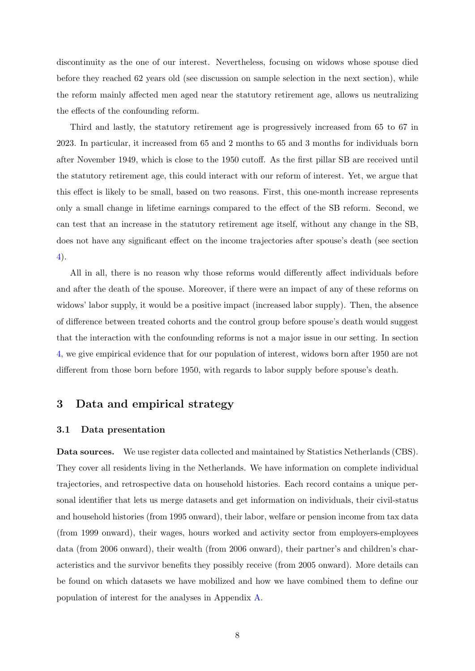discontinuity as the one of our interest. Nevertheless, focusing on widows whose spouse died before they reached 62 years old (see discussion on sample selection in the next section), while the reform mainly affected men aged near the statutory retirement age, allows us neutralizing the effects of the confounding reform.

Third and lastly, the statutory retirement age is progressively increased from 65 to 67 in 2023. In particular, it increased from 65 and 2 months to 65 and 3 months for individuals born after November 1949, which is close to the 1950 cutoff. As the first pillar SB are received until the statutory retirement age, this could interact with our reform of interest. Yet, we argue that this effect is likely to be small, based on two reasons. First, this one-month increase represents only a small change in lifetime earnings compared to the effect of the SB reform. Second, we can test that an increase in the statutory retirement age itself, without any change in the SB, does not have any significant effect on the income trajectories after spouse's death (see section [4\)](#page-12-0).

All in all, there is no reason why those reforms would differently affect individuals before and after the death of the spouse. Moreover, if there were an impact of any of these reforms on widows' labor supply, it would be a positive impact (increased labor supply). Then, the absence of difference between treated cohorts and the control group before spouse's death would suggest that the interaction with the confounding reforms is not a major issue in our setting. In section [4,](#page-12-0) we give empirical evidence that for our population of interest, widows born after 1950 are not different from those born before 1950, with regards to labor supply before spouse's death.

# <span id="page-8-0"></span>3 Data and empirical strategy

#### <span id="page-8-1"></span>3.1 Data presentation

Data sources. We use register data collected and maintained by Statistics Netherlands (CBS). They cover all residents living in the Netherlands. We have information on complete individual trajectories, and retrospective data on household histories. Each record contains a unique personal identifier that lets us merge datasets and get information on individuals, their civil-status and household histories (from 1995 onward), their labor, welfare or pension income from tax data (from 1999 onward), their wages, hours worked and activity sector from employers-employees data (from 2006 onward), their wealth (from 2006 onward), their partner's and children's characteristics and the survivor benefits they possibly receive (from 2005 onward). More details can be found on which datasets we have mobilized and how we have combined them to define our population of interest for the analyses in Appendix [A.](#page-33-0)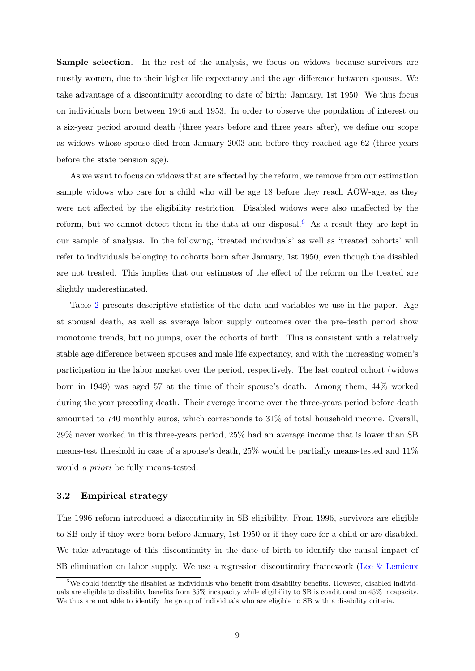Sample selection. In the rest of the analysis, we focus on widows because survivors are mostly women, due to their higher life expectancy and the age difference between spouses. We take advantage of a discontinuity according to date of birth: January, 1st 1950. We thus focus on individuals born between 1946 and 1953. In order to observe the population of interest on a six-year period around death (three years before and three years after), we define our scope as widows whose spouse died from January 2003 and before they reached age 62 (three years before the state pension age).

As we want to focus on widows that are affected by the reform, we remove from our estimation sample widows who care for a child who will be age 18 before they reach AOW-age, as they were not affected by the eligibility restriction. Disabled widows were also unaffected by the reform, but we cannot detect them in the data at our disposal.<sup>[6](#page-1-0)</sup> As a result they are kept in our sample of analysis. In the following, 'treated individuals' as well as 'treated cohorts' will refer to individuals belonging to cohorts born after January, 1st 1950, even though the disabled are not treated. This implies that our estimates of the effect of the reform on the treated are slightly underestimated.

Table [2](#page-10-0) presents descriptive statistics of the data and variables we use in the paper. Age at spousal death, as well as average labor supply outcomes over the pre-death period show monotonic trends, but no jumps, over the cohorts of birth. This is consistent with a relatively stable age difference between spouses and male life expectancy, and with the increasing women's participation in the labor market over the period, respectively. The last control cohort (widows born in 1949) was aged 57 at the time of their spouse's death. Among them, 44% worked during the year preceding death. Their average income over the three-years period before death amounted to 740 monthly euros, which corresponds to 31% of total household income. Overall, 39% never worked in this three-years period, 25% had an average income that is lower than SB means-test threshold in case of a spouse's death,  $25\%$  would be partially means-tested and  $11\%$ would a priori be fully means-tested.

#### 3.2 Empirical strategy

The 1996 reform introduced a discontinuity in SB eligibility. From 1996, survivors are eligible to SB only if they were born before January, 1st 1950 or if they care for a child or are disabled. We take advantage of this discontinuity in the date of birth to identify the causal impact of SB elimination on labor supply. We use a regression discontinuity framework [\(Lee & Lemieux](#page-31-9)

 $6$ We could identify the disabled as individuals who benefit from disability benefits. However, disabled individuals are eligible to disability benefits from 35% incapacity while eligibility to SB is conditional on 45% incapacity. We thus are not able to identify the group of individuals who are eligible to SB with a disability criteria.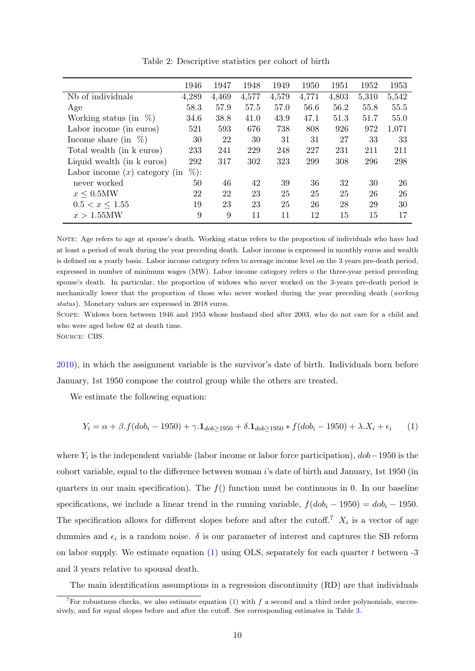<span id="page-10-0"></span>

|                                 | 1946    | 1947  | 1948  | 1949  | 1950  | 1951  | 1952  | 1953  |
|---------------------------------|---------|-------|-------|-------|-------|-------|-------|-------|
| Nb of individuals               | 4,289   | 4,469 | 4,577 | 4,579 | 4,771 | 4,803 | 5,310 | 5,542 |
| Age                             | 58.3    | 57.9  | 57.5  | 57.0  | 56.6  | 56.2  | 55.8  | 55.5  |
| %<br>Working status (in         | 34.6    | 38.8  | 41.0  | 43.9  | 47.1  | 51.3  | 51.7  | 55.0  |
| Labor income (in euros)         | 521     | 593   | 676   | 738   | 808   | 926   | 972   | 1,071 |
| Income share (in $\%$ )         | 30      | 22    | 30    | 31    | 31    | 27    | 33    | 33    |
| Total wealth (in k euros)       | 233     | 241   | 229   | 248   | 227   | 231   | 211   | 211   |
| Liquid wealth (in k euros)      | 292     | 317   | 302   | 323   | 299   | 308   | 296   | 298   |
| Labor income $(x)$ category (in | $\%$ ): |       |       |       |       |       |       |       |
| never worked                    | 50      | 46    | 42    | 39    | 36    | 32    | 30    | 26    |
| $x \leq 0.5\text{MW}$           | 22      | 22    | 23    | 25    | 25    | 25    | 26    | 26    |
| $0.5 < x \leq 1.55$             | 19      | 23    | 23    | 25    | 26    | 28    | 29    | 30    |
| $x > 1.55$ MW                   | 9       | 9     | 11    | 11    | 12    | 15    | 15    | 17    |
|                                 |         |       |       |       |       |       |       |       |

Table 2: Descriptive statistics per cohort of birth

NOTE: Age refers to age at spouse's death. Working status refers to the proportion of individuals who have had at least a period of work during the year preceding death. Labor income is expressed in monthly euros and wealth is defined on a yearly basis. Labor income category refers to average income level on the 3 years pre-death period, expressed in number of minimum wages (MW). Labor income category refers o the three-year period preceding spouse's death. In particular, the proportion of widows who never worked on the 3-years pre-death period is mechanically lower that the proportion of those who never worked during the year preceding death (working status). Monetary values are expressed in 2018 euros.

Scope: Widows born between 1946 and 1953 whose husband died after 2003, who do not care for a child and who were aged below 62 at death time.

Source: CBS.

[2010\)](#page-31-9), in which the assignment variable is the survivor's date of birth. Individuals born before January, 1st 1950 compose the control group while the others are treated.

We estimate the following equation:

<span id="page-10-1"></span>
$$
Y_i = \alpha + \beta \cdot f(dob_i - 1950) + \gamma \cdot 1_{dob \ge 1950} + \delta \cdot 1_{ dob \ge 1950} * f(dob_i - 1950) + \lambda \cdot X_i + \epsilon_i \tag{1}
$$

where  $Y_i$  is the independent variable (labor income or labor force participation),  $dob-1950$  is the cohort variable, equal to the difference between woman i's date of birth and January, 1st 1950 (in quarters in our main specification). The  $f()$  function must be continuous in 0. In our baseline specifications, we include a linear trend in the running variable,  $f(dobj - 1950) = dob_i - 1950$ . The specification allows for different slopes before and after the cutoff.<sup>[7](#page-1-0)</sup>  $X_i$  is a vector of age dummies and  $\epsilon_i$  is a random noise.  $\delta$  is our parameter of interest and captures the SB reform on labor supply. We estimate equation  $(1)$  using OLS, separately for each quarter t between -3 and 3 years relative to spousal death.

The main identification assumptions in a regression discontinuity (RD) are that individuals

<sup>&</sup>lt;sup>7</sup>For robustness checks, we also estimate equation [\(1\)](#page-10-1) with f a second and a third order polynomials, successively, and for equal slopes before and after the cutoff. See corresponding estimates in Table [3.](#page-15-0)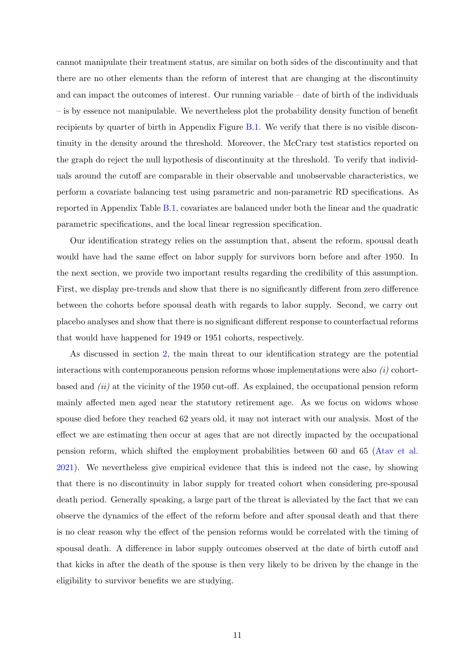cannot manipulate their treatment status, are similar on both sides of the discontinuity and that there are no other elements than the reform of interest that are changing at the discontinuity and can impact the outcomes of interest. Our running variable – date of birth of the individuals – is by essence not manipulable. We nevertheless plot the probability density function of benefit recipients by quarter of birth in Appendix Figure [B.1.](#page-36-0) We verify that there is no visible discontinuity in the density around the threshold. Moreover, the McCrary test statistics reported on the graph do reject the null hypothesis of discontinuity at the threshold. To verify that individuals around the cutoff are comparable in their observable and unobservable characteristics, we perform a covariate balancing test using parametric and non-parametric RD specifications. As reported in Appendix Table [B.1,](#page-37-0) covariates are balanced under both the linear and the quadratic parametric specifications, and the local linear regression specification.

Our identification strategy relies on the assumption that, absent the reform, spousal death would have had the same effect on labor supply for survivors born before and after 1950. In the next section, we provide two important results regarding the credibility of this assumption. First, we display pre-trends and show that there is no significantly different from zero difference between the cohorts before spousal death with regards to labor supply. Second, we carry out placebo analyses and show that there is no significant different response to counterfactual reforms that would have happened for 1949 or 1951 cohorts, respectively.

As discussed in section [2,](#page-5-0) the main threat to our identification strategy are the potential interactions with contemporaneous pension reforms whose implementations were also  $(i)$  cohortbased and  $(ii)$  at the vicinity of the 1950 cut-off. As explained, the occupational pension reform mainly affected men aged near the statutory retirement age. As we focus on widows whose spouse died before they reached 62 years old, it may not interact with our analysis. Most of the effect we are estimating then occur at ages that are not directly impacted by the occupational pension reform, which shifted the employment probabilities between 60 and 65 [\(Atav et al.](#page-30-10) [2021\)](#page-30-10). We nevertheless give empirical evidence that this is indeed not the case, by showing that there is no discontinuity in labor supply for treated cohort when considering pre-spousal death period. Generally speaking, a large part of the threat is alleviated by the fact that we can observe the dynamics of the effect of the reform before and after spousal death and that there is no clear reason why the effect of the pension reforms would be correlated with the timing of spousal death. A difference in labor supply outcomes observed at the date of birth cutoff and that kicks in after the death of the spouse is then very likely to be driven by the change in the eligibility to survivor benefits we are studying.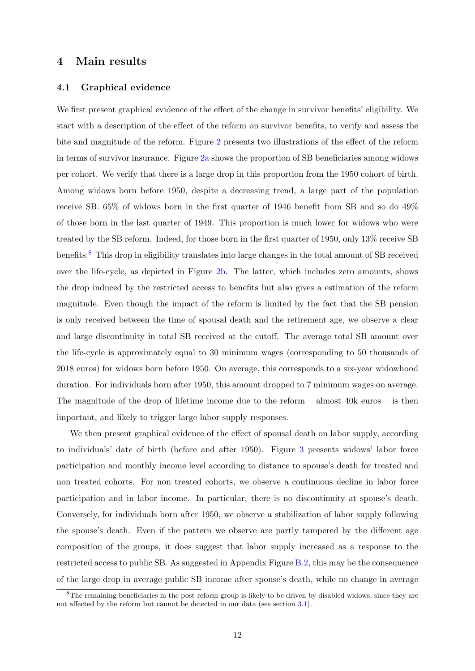# <span id="page-12-0"></span>4 Main results

#### 4.1 Graphical evidence

We first present graphical evidence of the effect of the change in survivor benefits' eligibility. We start with a description of the effect of the reform on survivor benefits, to verify and assess the bite and magnitude of the reform. Figure [2](#page-13-0) presents two illustrations of the effect of the reform in terms of survivor insurance. Figure [2a](#page-13-0) shows the proportion of SB beneficiaries among widows per cohort. We verify that there is a large drop in this proportion from the 1950 cohort of birth. Among widows born before 1950, despite a decreasing trend, a large part of the population receive SB. 65% of widows born in the first quarter of 1946 benefit from SB and so do 49% of those born in the last quarter of 1949. This proportion is much lower for widows who were treated by the SB reform. Indeed, for those born in the first quarter of 1950, only 13% receive SB benefits.[8](#page-1-0) This drop in eligibility translates into large changes in the total amount of SB received over the life-cycle, as depicted in Figure [2b.](#page-13-0) The latter, which includes zero amounts, shows the drop induced by the restricted access to benefits but also gives a estimation of the reform magnitude. Even though the impact of the reform is limited by the fact that the SB pension is only received between the time of spousal death and the retirement age, we observe a clear and large discontinuity in total SB received at the cutoff. The average total SB amount over the life-cycle is approximately equal to 30 minimum wages (corresponding to 50 thousands of 2018 euros) for widows born before 1950. On average, this corresponds to a six-year widowhood duration. For individuals born after 1950, this amount dropped to 7 minimum wages on average. The magnitude of the drop of lifetime income due to the reform – almost 40k euros – is then important, and likely to trigger large labor supply responses.

We then present graphical evidence of the effect of spousal death on labor supply, according to individuals' date of birth (before and after 1950). Figure [3](#page-13-1) presents widows' labor force participation and monthly income level according to distance to spouse's death for treated and non treated cohorts. For non treated cohorts, we observe a continuous decline in labor force participation and in labor income. In particular, there is no discontinuity at spouse's death. Conversely, for individuals born after 1950, we observe a stabilization of labor supply following the spouse's death. Even if the pattern we observe are partly tampered by the different age composition of the groups, it does suggest that labor supply increased as a response to the restricted access to public SB. As suggested in Appendix Figure  $B.2$ , this may be the consequence of the large drop in average public SB income after spouse's death, while no change in average

<sup>&</sup>lt;sup>8</sup>The remaining beneficiaries in the post-reform group is likely to be driven by disabled widows, since they are not affected by the reform but cannot be detected in our data (see section [3.1\)](#page-8-1).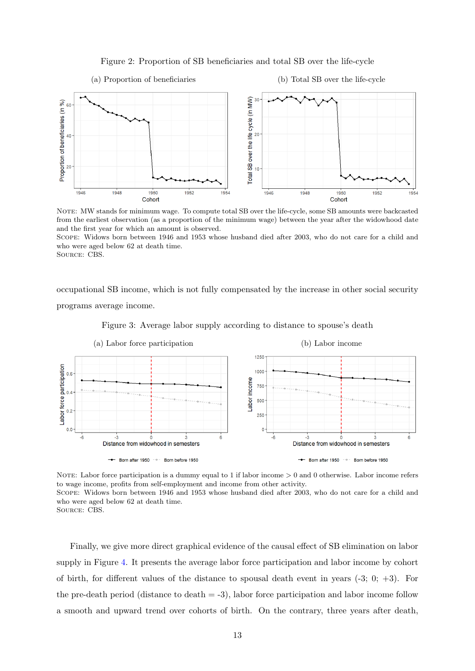

<span id="page-13-0"></span>(a) Proportion of beneficiaries (b) Total SB over the life-cycle Total SB over the life cycle (in MW)<br> $\frac{\text{e}}{\text{e}}$ Proportion of beneficiaries (in %)  $60$  $40$  $\overline{2}$ 1946 1948 1950 1952  $1954$ 1946 1948 1950 1952 1954 Cohort Cohort

NOTE: MW stands for minimum wage. To compute total SB over the life-cycle, some SB amounts were backcasted from the earliest observation (as a proportion of the minimum wage) between the year after the widowhood date and the first year for which an amount is observed.

Scope: Widows born between 1946 and 1953 whose husband died after 2003, who do not care for a child and who were aged below 62 at death time.

Source: CBS.

occupational SB income, which is not fully compensated by the increase in other social security programs average income.

<span id="page-13-1"></span>

Figure 3: Average labor supply according to distance to spouse's death

NOTE: Labor force participation is a dummy equal to 1 if labor income  $> 0$  and 0 otherwise. Labor income refers to wage income, profits from self-employment and income from other activity. Scope: Widows born between 1946 and 1953 whose husband died after 2003, who do not care for a child and who were aged below 62 at death time.

SOURCE: CBS.

Finally, we give more direct graphical evidence of the causal effect of SB elimination on labor supply in Figure [4.](#page-14-0) It presents the average labor force participation and labor income by cohort of birth, for different values of the distance to spousal death event in years  $(-3, 0, +3)$ . For the pre-death period (distance to death  $=$  -3), labor force participation and labor income follow a smooth and upward trend over cohorts of birth. On the contrary, three years after death,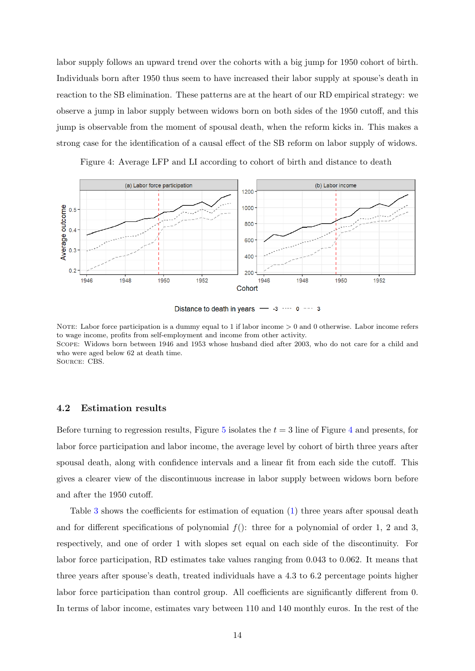labor supply follows an upward trend over the cohorts with a big jump for 1950 cohort of birth. Individuals born after 1950 thus seem to have increased their labor supply at spouse's death in reaction to the SB elimination. These patterns are at the heart of our RD empirical strategy: we observe a jump in labor supply between widows born on both sides of the 1950 cutoff, and this jump is observable from the moment of spousal death, when the reform kicks in. This makes a strong case for the identification of a causal effect of the SB reform on labor supply of widows.

Figure 4: Average LFP and LI according to cohort of birth and distance to death

<span id="page-14-0"></span>

Distance to death in years  $-$  -3  $--- 0 --- 3$ 

NOTE: Labor force participation is a dummy equal to 1 if labor income  $> 0$  and 0 otherwise. Labor income refers to wage income, profits from self-employment and income from other activity. Scope: Widows born between 1946 and 1953 whose husband died after 2003, who do not care for a child and who were aged below 62 at death time. Source: CBS.

#### 4.2 Estimation results

Before turning to regression results, Figure [5](#page-15-1) isolates the  $t = 3$  line of Figure [4](#page-14-0) and presents, for labor force participation and labor income, the average level by cohort of birth three years after spousal death, along with confidence intervals and a linear fit from each side the cutoff. This gives a clearer view of the discontinuous increase in labor supply between widows born before and after the 1950 cutoff.

Table [3](#page-15-0) shows the coefficients for estimation of equation [\(1\)](#page-10-1) three years after spousal death and for different specifications of polynomial  $f()$ : three for a polynomial of order 1, 2 and 3, respectively, and one of order 1 with slopes set equal on each side of the discontinuity. For labor force participation, RD estimates take values ranging from 0.043 to 0.062. It means that three years after spouse's death, treated individuals have a 4.3 to 6.2 percentage points higher labor force participation than control group. All coefficients are significantly different from 0. In terms of labor income, estimates vary between 110 and 140 monthly euros. In the rest of the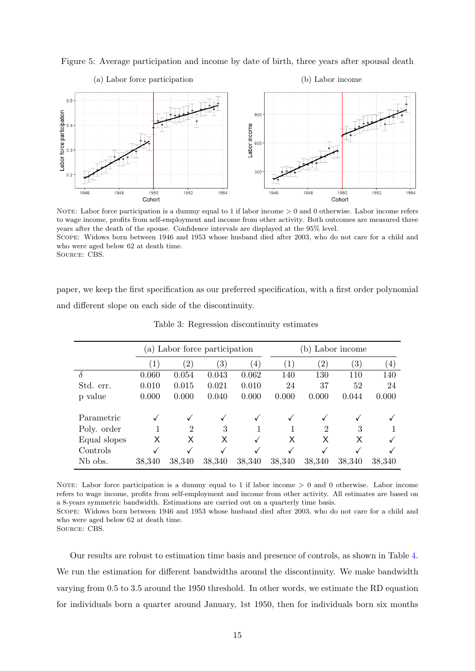

<span id="page-15-1"></span>Figure 5: Average participation and income by date of birth, three years after spousal death

NOTE: Labor force participation is a dummy equal to 1 if labor income  $> 0$  and 0 otherwise. Labor income refers to wage income, profits from self-employment and income from other activity. Both outcomes are measured three years after the death of the spouse. Confidence intervals are displayed at the 95% level. Scope: Widows born between 1946 and 1953 whose husband died after 2003, who do not care for a child and who were aged below 62 at death time. Source: CBS.

<span id="page-15-0"></span>paper, we keep the first specification as our preferred specification, with a first order polynomial and different slope on each side of the discontinuity.

|              |                  | (a) Labor force participation |                   |                  |        | Labor income<br>(b |                   |                  |  |
|--------------|------------------|-------------------------------|-------------------|------------------|--------|--------------------|-------------------|------------------|--|
|              | $\left(1\right)$ | $\left( 2\right)$             | $\left( 3\right)$ | $\left(4\right)$ | 1)     | $\left( 2\right)$  | $\left( 3\right)$ | $\left(4\right)$ |  |
| δ            | 0.060            | 0.054                         | 0.043             | 0.062            | 140    | 130                | 110               | 140              |  |
| Std. err.    | 0.010            | 0.015                         | 0.021             | 0.010            | 24     | 37                 | 52                | 24               |  |
| p value      | 0.000            | 0.000                         | 0.040             | 0.000            | 0.000  | 0.000              | 0.044             | 0.000            |  |
| Parametric   | ✓                | $\checkmark$                  | $\checkmark$      | ✓                |        |                    | ✓                 | $\checkmark$     |  |
| Poly. order  |                  | 2                             | 3                 | 1                |        | 2                  | 3                 |                  |  |
| Equal slopes | Х                | Х                             | X                 | √                | X      | Х                  | Х                 | ✓                |  |
| Controls     | √                | ✓                             | $\checkmark$      |                  |        |                    |                   | √                |  |
| Nb obs.      | 38,340           | 38,340                        | 38,340            | 38,340           | 38,340 | 38,340             | 38,340            | 38,340           |  |

Table 3: Regression discontinuity estimates

NOTE: Labor force participation is a dummy equal to 1 if labor income  $> 0$  and 0 otherwise. Labor income refers to wage income, profits from self-employment and income from other activity. All estimates are based on a 8-years symmetric bandwidth. Estimations are carried out on a quarterly time basis.

Scope: Widows born between 1946 and 1953 whose husband died after 2003, who do not care for a child and who were aged below 62 at death time.

Source: CBS.

Our results are robust to estimation time basis and presence of controls, as shown in Table [4.](#page-16-0) We run the estimation for different bandwidths around the discontinuity. We make bandwidth varying from 0.5 to 3.5 around the 1950 threshold. In other words, we estimate the RD equation for individuals born a quarter around January, 1st 1950, then for individuals born six months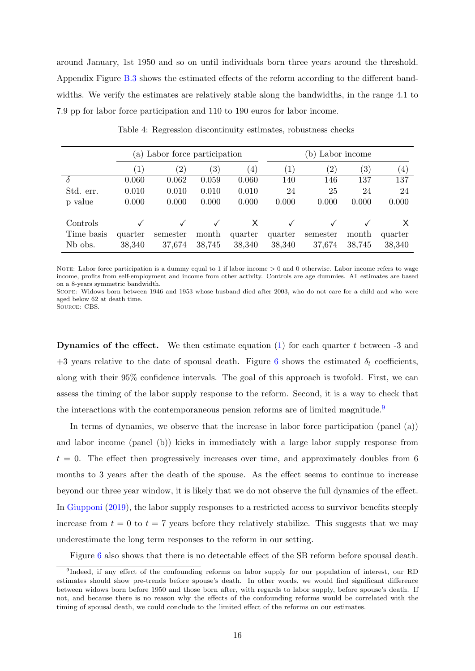around January, 1st 1950 and so on until individuals born three years around the threshold. Appendix Figure [B.3](#page-37-1) shows the estimated effects of the reform according to the different bandwidths. We verify the estimates are relatively stable along the bandwidths, in the range 4.1 to 7.9 pp for labor force participation and 110 to 190 euros for labor income.

<span id="page-16-0"></span>

|                                   | (a) Labor force participation |                    |                  |                   | (b) Labor income  |                    |                   |                   |
|-----------------------------------|-------------------------------|--------------------|------------------|-------------------|-------------------|--------------------|-------------------|-------------------|
|                                   | (1)                           | $^{\prime}2)$      | $\left(3\right)$ | $\left( 4\right)$ | (1)               | $\left( 2\right)$  | $\left( 3\right)$ | (4)               |
| $\delta$                          | 0.060                         | 0.062              | 0.059            | 0.060             | 140               | 146                | 137               | 137               |
| Std. err.                         | 0.010                         | 0.010              | 0.010            | 0.010             | 24                | 25                 | 24                | 24                |
| p value                           | 0.000                         | 0.000              | 0.000            | 0.000             | 0.000             | 0.000              | 0.000             | 0.000             |
| Controls                          |                               |                    |                  | X                 |                   |                    |                   |                   |
| Time basis<br>N <sub>b</sub> obs. | quarter<br>38,340             | semester<br>37,674 | month<br>38,745  | quarter<br>38,340 | quarter<br>38,340 | semester<br>37,674 | month<br>38,745   | quarter<br>38,340 |

Table 4: Regression discontinuity estimates, robustness checks

NOTE: Labor force participation is a dummy equal to 1 if labor income  $> 0$  and 0 otherwise. Labor income refers to wage income, profits from self-employment and income from other activity. Controls are age dummies. All estimates are based on a 8-years symmetric bandwidth.

Scope: Widows born between 1946 and 1953 whose husband died after 2003, who do not care for a child and who were aged below 62 at death time.

Source: CBS.

**Dynamics of the effect.** We then estimate equation  $(1)$  for each quarter t between -3 and +3 years relative to the date of spousal death. Figure [6](#page-17-0) shows the estimated  $\delta_t$  coefficients, along with their 95% confidence intervals. The goal of this approach is twofold. First, we can assess the timing of the labor supply response to the reform. Second, it is a way to check that the interactions with the contemporaneous pension reforms are of limited magnitude.<sup>[9](#page-1-0)</sup>

In terms of dynamics, we observe that the increase in labor force participation (panel (a)) and labor income (panel (b)) kicks in immediately with a large labor supply response from  $t = 0$ . The effect then progressively increases over time, and approximately doubles from 6 months to 3 years after the death of the spouse. As the effect seems to continue to increase beyond our three year window, it is likely that we do not observe the full dynamics of the effect. In [Giupponi](#page-31-1) [\(2019\)](#page-31-1), the labor supply responses to a restricted access to survivor benefits steeply increase from  $t = 0$  to  $t = 7$  years before they relatively stabilize. This suggests that we may underestimate the long term responses to the reform in our setting.

Figure [6](#page-17-0) also shows that there is no detectable effect of the SB reform before spousal death.

<sup>&</sup>lt;sup>9</sup>Indeed, if any effect of the confounding reforms on labor supply for our population of interest, our RD estimates should show pre-trends before spouse's death. In other words, we would find significant difference between widows born before 1950 and those born after, with regards to labor supply, before spouse's death. If not, and because there is no reason why the effects of the confounding reforms would be correlated with the timing of spousal death, we could conclude to the limited effect of the reforms on our estimates.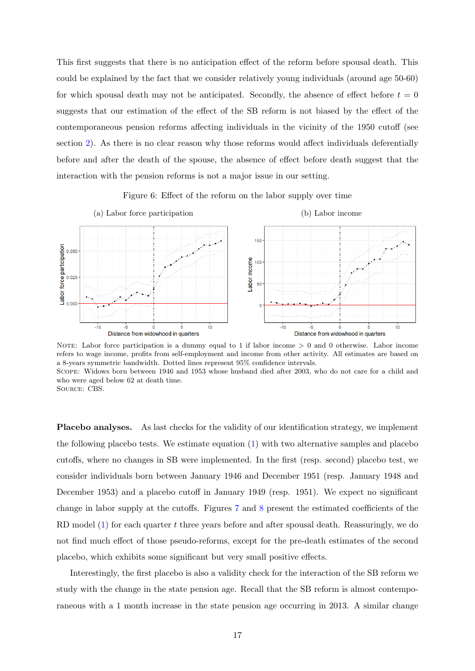This first suggests that there is no anticipation effect of the reform before spousal death. This could be explained by the fact that we consider relatively young individuals (around age 50-60) for which spousal death may not be anticipated. Secondly, the absence of effect before  $t = 0$ suggests that our estimation of the effect of the SB reform is not biased by the effect of the contemporaneous pension reforms affecting individuals in the vicinity of the 1950 cutoff (see section [2\)](#page-5-0). As there is no clear reason why those reforms would affect individuals deferentially before and after the death of the spouse, the absence of effect before death suggest that the interaction with the pension reforms is not a major issue in our setting.

Figure 6: Effect of the reform on the labor supply over time

<span id="page-17-0"></span>

NOTE: Labor force participation is a dummy equal to 1 if labor income  $> 0$  and 0 otherwise. Labor income refers to wage income, profits from self-employment and income from other activity. All estimates are based on a 8-years symmetric bandwidth. Dotted lines represent 95% confidence intervals. Scope: Widows born between 1946 and 1953 whose husband died after 2003, who do not care for a child and who were aged below 62 at death time.

Placebo analyses. As last checks for the validity of our identification strategy, we implement the following placebo tests. We estimate equation [\(1\)](#page-10-1) with two alternative samples and placebo cutoffs, where no changes in SB were implemented. In the first (resp. second) placebo test, we consider individuals born between January 1946 and December 1951 (resp. January 1948 and December 1953) and a placebo cutoff in January 1949 (resp. 1951). We expect no significant change in labor supply at the cutoffs. Figures [7](#page-18-0) and [8](#page-18-1) present the estimated coefficients of the RD model  $(1)$  for each quarter t three years before and after spousal death. Reassuringly, we do not find much effect of those pseudo-reforms, except for the pre-death estimates of the second placebo, which exhibits some significant but very small positive effects.

Interestingly, the first placebo is also a validity check for the interaction of the SB reform we study with the change in the state pension age. Recall that the SB reform is almost contemporaneous with a 1 month increase in the state pension age occurring in 2013. A similar change

Source: CBS.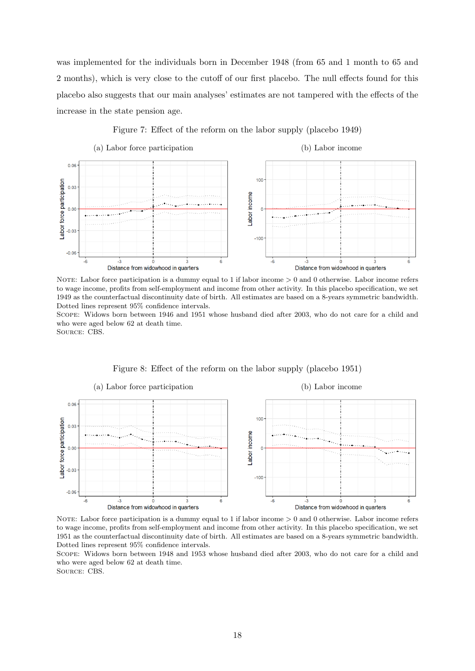was implemented for the individuals born in December 1948 (from 65 and 1 month to 65 and 2 months), which is very close to the cutoff of our first placebo. The null effects found for this placebo also suggests that our main analyses' estimates are not tampered with the effects of the increase in the state pension age.

Figure 7: Effect of the reform on the labor supply (placebo 1949)

<span id="page-18-0"></span>

NOTE: Labor force participation is a dummy equal to 1 if labor income  $> 0$  and 0 otherwise. Labor income refers to wage income, profits from self-employment and income from other activity. In this placebo specification, we set 1949 as the counterfactual discontinuity date of birth. All estimates are based on a 8-years symmetric bandwidth. Dotted lines represent 95% confidence intervals.

Scope: Widows born between 1946 and 1951 whose husband died after 2003, who do not care for a child and who were aged below 62 at death time.

Source: CBS.

<span id="page-18-1"></span>

Figure 8: Effect of the reform on the labor supply (placebo 1951)

NOTE: Labor force participation is a dummy equal to 1 if labor income  $> 0$  and 0 otherwise. Labor income refers to wage income, profits from self-employment and income from other activity. In this placebo specification, we set 1951 as the counterfactual discontinuity date of birth. All estimates are based on a 8-years symmetric bandwidth. Dotted lines represent 95% confidence intervals.

Scope: Widows born between 1948 and 1953 whose husband died after 2003, who do not care for a child and who were aged below 62 at death time. Source: CBS.

18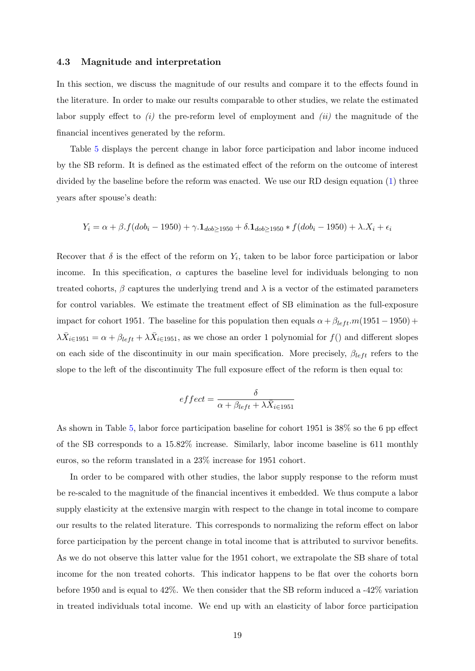#### 4.3 Magnitude and interpretation

In this section, we discuss the magnitude of our results and compare it to the effects found in the literature. In order to make our results comparable to other studies, we relate the estimated labor supply effect to  $(i)$  the pre-reform level of employment and  $(ii)$  the magnitude of the financial incentives generated by the reform.

Table [5](#page-20-0) displays the percent change in labor force participation and labor income induced by the SB reform. It is defined as the estimated effect of the reform on the outcome of interest divided by the baseline before the reform was enacted. We use our RD design equation [\(1\)](#page-10-1) three years after spouse's death:

$$
Y_i = \alpha + \beta \cdot f(d\omega_i - 1950) + \gamma \cdot 1_{d\omega_i} = 1950 + \delta \cdot 1_{d\omega_i} = 1950 * f(d\omega_i - 1950) + \lambda \cdot X_i + \epsilon_i
$$

Recover that  $\delta$  is the effect of the reform on  $Y_i$ , taken to be labor force participation or labor income. In this specification,  $\alpha$  captures the baseline level for individuals belonging to non treated cohorts,  $\beta$  captures the underlying trend and  $\lambda$  is a vector of the estimated parameters for control variables. We estimate the treatment effect of SB elimination as the full-exposure impact for cohort 1951. The baseline for this population then equals  $\alpha + \beta_{left} \cdot m(1951-1950) +$  $\lambda \bar{X}_{i\in 1951} = \alpha + \beta_{left} + \lambda \bar{X}_{i\in 1951}$ , as we chose an order 1 polynomial for  $f()$  and different slopes on each side of the discontinuity in our main specification. More precisely,  $\beta_{left}$  refers to the slope to the left of the discontinuity The full exposure effect of the reform is then equal to:

$$
effect = \frac{\delta}{\alpha + \beta_{left} + \lambda \bar{X}_{i \in 1951}}
$$

As shown in Table [5,](#page-20-0) labor force participation baseline for cohort 1951 is 38% so the 6 pp effect of the SB corresponds to a 15.82% increase. Similarly, labor income baseline is 611 monthly euros, so the reform translated in a 23% increase for 1951 cohort.

In order to be compared with other studies, the labor supply response to the reform must be re-scaled to the magnitude of the financial incentives it embedded. We thus compute a labor supply elasticity at the extensive margin with respect to the change in total income to compare our results to the related literature. This corresponds to normalizing the reform effect on labor force participation by the percent change in total income that is attributed to survivor benefits. As we do not observe this latter value for the 1951 cohort, we extrapolate the SB share of total income for the non treated cohorts. This indicator happens to be flat over the cohorts born before 1950 and is equal to 42%. We then consider that the SB reform induced a -42% variation in treated individuals total income. We end up with an elasticity of labor force participation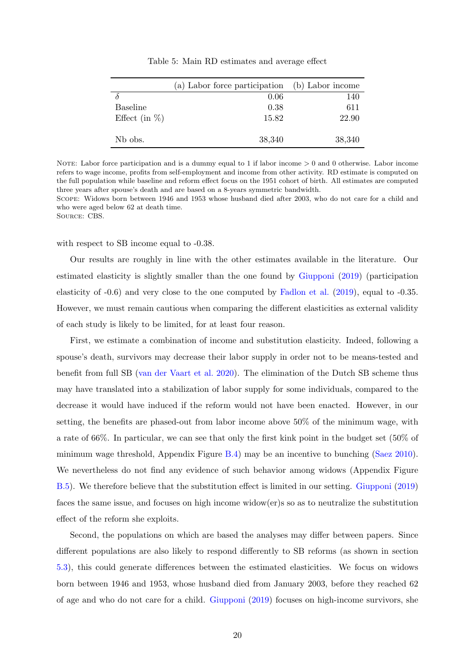<span id="page-20-0"></span>

|                     | (a) Labor force participation | (b) Labor income |
|---------------------|-------------------------------|------------------|
|                     | 0.06                          | 140              |
| Baseline            | 0.38                          | 611              |
| Effect (in $%$ )    | 15.82                         | 22.90            |
| N <sub>b</sub> obs. | 38,340                        | 38,340           |

Table 5: Main RD estimates and average effect

NOTE: Labor force participation and is a dummy equal to 1 if labor income  $> 0$  and 0 otherwise. Labor income refers to wage income, profits from self-employment and income from other activity. RD estimate is computed on the full population while baseline and reform effect focus on the 1951 cohort of birth. All estimates are computed three years after spouse's death and are based on a 8-years symmetric bandwidth.

Scope: Widows born between 1946 and 1953 whose husband died after 2003, who do not care for a child and who were aged below 62 at death time.

Source: CBS.

with respect to SB income equal to  $-0.38$ .

Our results are roughly in line with the other estimates available in the literature. Our estimated elasticity is slightly smaller than the one found by [Giupponi](#page-31-1) [\(2019\)](#page-31-1) (participation elasticity of -0.6) and very close to the one computed by [Fadlon et al.](#page-31-5) [\(2019\)](#page-31-5), equal to -0.35. However, we must remain cautious when comparing the different elasticities as external validity of each study is likely to be limited, for at least four reason.

First, we estimate a combination of income and substitution elasticity. Indeed, following a spouse's death, survivors may decrease their labor supply in order not to be means-tested and benefit from full SB [\(van der Vaart et al.](#page-32-2) [2020\)](#page-32-2). The elimination of the Dutch SB scheme thus may have translated into a stabilization of labor supply for some individuals, compared to the decrease it would have induced if the reform would not have been enacted. However, in our setting, the benefits are phased-out from labor income above 50% of the minimum wage, with a rate of 66%. In particular, we can see that only the first kink point in the budget set (50% of minimum wage threshold, Appendix Figure [B.4\)](#page-38-0) may be an incentive to bunching [\(Saez](#page-32-9) [2010\)](#page-32-9). We nevertheless do not find any evidence of such behavior among widows (Appendix Figure [B.5\)](#page-38-1). We therefore believe that the substitution effect is limited in our setting. [Giupponi](#page-31-1) [\(2019\)](#page-31-1) faces the same issue, and focuses on high income widow(er)s so as to neutralize the substitution effect of the reform she exploits.

Second, the populations on which are based the analyses may differ between papers. Since different populations are also likely to respond differently to SB reforms (as shown in section [5.3\)](#page-26-0), this could generate differences between the estimated elasticities. We focus on widows born between 1946 and 1953, whose husband died from January 2003, before they reached 62 of age and who do not care for a child. [Giupponi](#page-31-1) [\(2019\)](#page-31-1) focuses on high-income survivors, she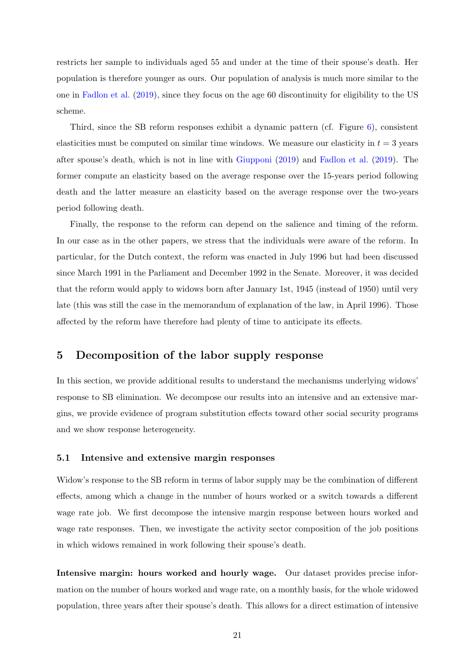restricts her sample to individuals aged 55 and under at the time of their spouse's death. Her population is therefore younger as ours. Our population of analysis is much more similar to the one in [Fadlon et al.](#page-31-5) [\(2019\)](#page-31-5), since they focus on the age 60 discontinuity for eligibility to the US scheme.

Third, since the SB reform responses exhibit a dynamic pattern (cf. Figure [6\)](#page-17-0), consistent elasticities must be computed on similar time windows. We measure our elasticity in  $t = 3$  years after spouse's death, which is not in line with [Giupponi](#page-31-1) [\(2019\)](#page-31-1) and [Fadlon et al.](#page-31-5) [\(2019\)](#page-31-5). The former compute an elasticity based on the average response over the 15-years period following death and the latter measure an elasticity based on the average response over the two-years period following death.

Finally, the response to the reform can depend on the salience and timing of the reform. In our case as in the other papers, we stress that the individuals were aware of the reform. In particular, for the Dutch context, the reform was enacted in July 1996 but had been discussed since March 1991 in the Parliament and December 1992 in the Senate. Moreover, it was decided that the reform would apply to widows born after January 1st, 1945 (instead of 1950) until very late (this was still the case in the memorandum of explanation of the law, in April 1996). Those affected by the reform have therefore had plenty of time to anticipate its effects.

# <span id="page-21-0"></span>5 Decomposition of the labor supply response

In this section, we provide additional results to understand the mechanisms underlying widows' response to SB elimination. We decompose our results into an intensive and an extensive margins, we provide evidence of program substitution effects toward other social security programs and we show response heterogeneity.

#### 5.1 Intensive and extensive margin responses

Widow's response to the SB reform in terms of labor supply may be the combination of different effects, among which a change in the number of hours worked or a switch towards a different wage rate job. We first decompose the intensive margin response between hours worked and wage rate responses. Then, we investigate the activity sector composition of the job positions in which widows remained in work following their spouse's death.

Intensive margin: hours worked and hourly wage. Our dataset provides precise information on the number of hours worked and wage rate, on a monthly basis, for the whole widowed population, three years after their spouse's death. This allows for a direct estimation of intensive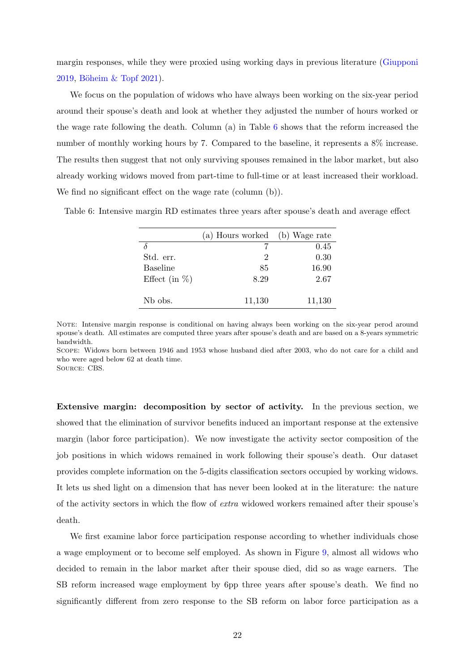margin responses, while they were proxied using working days in previous literature [\(Giupponi](#page-31-1) [2019,](#page-31-1) Böheim & Topf [2021\)](#page-30-5).

We focus on the population of widows who have always been working on the six-year period around their spouse's death and look at whether they adjusted the number of hours worked or the wage rate following the death. Column (a) in Table [6](#page-22-0) shows that the reform increased the number of monthly working hours by 7. Compared to the baseline, it represents a 8% increase. The results then suggest that not only surviving spouses remained in the labor market, but also already working widows moved from part-time to full-time or at least increased their workload. We find no significant effect on the wage rate (column  $(b)$ ).

<span id="page-22-0"></span>Table 6: Intensive margin RD estimates three years after spouse's death and average effect

|                  | (a) Hours worked | (b) Wage rate |
|------------------|------------------|---------------|
|                  |                  | 0.45          |
| Std. err.        | 2                | 0.30          |
| <b>Baseline</b>  | 85               | 16.90         |
| Effect (in $%$ ) | 8.29             | 2.67          |
| Nb obs.          | 11,130           | 11,130        |

NOTE: Intensive margin response is conditional on having always been working on the six-year perod around spouse's death. All estimates are computed three years after spouse's death and are based on a 8-years symmetric bandwidth.

Scope: Widows born between 1946 and 1953 whose husband died after 2003, who do not care for a child and who were aged below 62 at death time.

Source: CBS.

Extensive margin: decomposition by sector of activity. In the previous section, we showed that the elimination of survivor benefits induced an important response at the extensive margin (labor force participation). We now investigate the activity sector composition of the job positions in which widows remained in work following their spouse's death. Our dataset provides complete information on the 5-digits classification sectors occupied by working widows. It lets us shed light on a dimension that has never been looked at in the literature: the nature of the activity sectors in which the flow of extra widowed workers remained after their spouse's death.

We first examine labor force participation response according to whether individuals chose a wage employment or to become self employed. As shown in Figure [9,](#page-23-0) almost all widows who decided to remain in the labor market after their spouse died, did so as wage earners. The SB reform increased wage employment by 6pp three years after spouse's death. We find no significantly different from zero response to the SB reform on labor force participation as a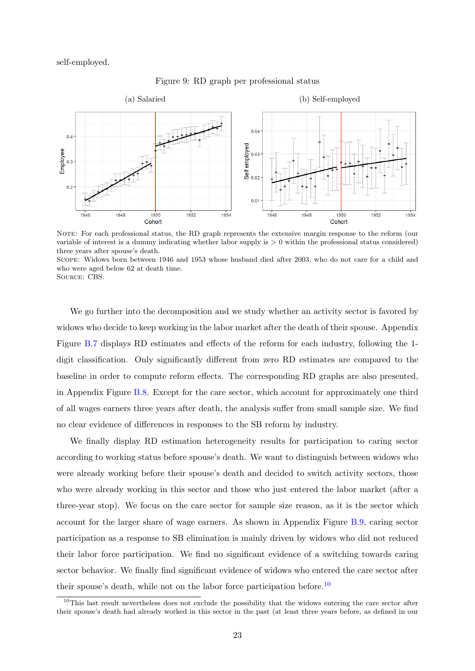<span id="page-23-0"></span>self-employed.



Figure 9: RD graph per professional status

NOTE: For each professional status, the RD graph represents the extensive margin response to the reform (our variable of interest is a dummy indicating whether labor supply is  $> 0$  within the professional status considered) three years after spouse's death.

Scope: Widows born between 1946 and 1953 whose husband died after 2003, who do not care for a child and who were aged below 62 at death time.

Source: CBS.

We go further into the decomposition and we study whether an activity sector is favored by widows who decide to keep working in the labor market after the death of their spouse. Appendix Figure [B.7](#page-40-0) displays RD estimates and effects of the reform for each industry, following the 1 digit classification. Only significantly different from zero RD estimates are compared to the baseline in order to compute reform effects. The corresponding RD graphs are also presented, in Appendix Figure [B.8.](#page-41-0) Except for the care sector, which account for approximately one third of all wages earners three years after death, the analysis suffer from small sample size. We find no clear evidence of differences in responses to the SB reform by industry.

We finally display RD estimation heterogeneity results for participation to caring sector according to working status before spouse's death. We want to distinguish between widows who were already working before their spouse's death and decided to switch activity sectors, those who were already working in this sector and those who just entered the labor market (after a three-year stop). We focus on the care sector for sample size reason, as it is the sector which account for the larger share of wage earners. As shown in Appendix Figure [B.9,](#page-42-0) caring sector participation as a response to SB elimination is mainly driven by widows who did not reduced their labor force participation. We find no significant evidence of a switching towards caring sector behavior. We finally find significant evidence of widows who entered the care sector after their spouse's death, while not on the labor force participation before.<sup>[10](#page-1-0)</sup>

<sup>&</sup>lt;sup>10</sup>This last result nevertheless does not exclude the possibility that the widows entering the care sector after their spouse's death had already worked in this sector in the past (at least three years before, as defined in our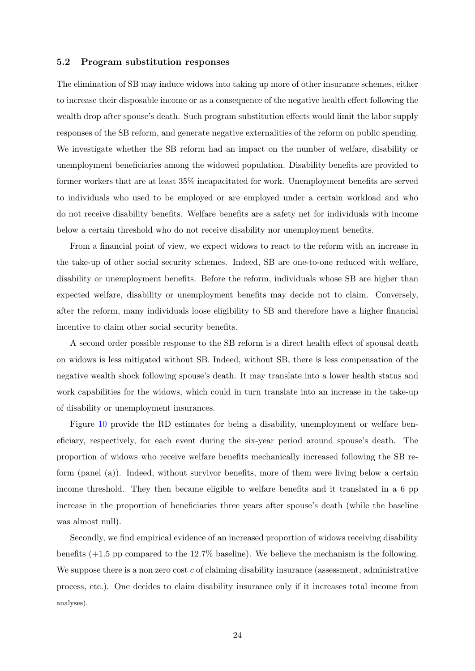#### 5.2 Program substitution responses

The elimination of SB may induce widows into taking up more of other insurance schemes, either to increase their disposable income or as a consequence of the negative health effect following the wealth drop after spouse's death. Such program substitution effects would limit the labor supply responses of the SB reform, and generate negative externalities of the reform on public spending. We investigate whether the SB reform had an impact on the number of welfare, disability or unemployment beneficiaries among the widowed population. Disability benefits are provided to former workers that are at least 35% incapacitated for work. Unemployment benefits are served to individuals who used to be employed or are employed under a certain workload and who do not receive disability benefits. Welfare benefits are a safety net for individuals with income below a certain threshold who do not receive disability nor unemployment benefits.

From a financial point of view, we expect widows to react to the reform with an increase in the take-up of other social security schemes. Indeed, SB are one-to-one reduced with welfare, disability or unemployment benefits. Before the reform, individuals whose SB are higher than expected welfare, disability or unemployment benefits may decide not to claim. Conversely, after the reform, many individuals loose eligibility to SB and therefore have a higher financial incentive to claim other social security benefits.

A second order possible response to the SB reform is a direct health effect of spousal death on widows is less mitigated without SB. Indeed, without SB, there is less compensation of the negative wealth shock following spouse's death. It may translate into a lower health status and work capabilities for the widows, which could in turn translate into an increase in the take-up of disability or unemployment insurances.

Figure [10](#page-25-0) provide the RD estimates for being a disability, unemployment or welfare beneficiary, respectively, for each event during the six-year period around spouse's death. The proportion of widows who receive welfare benefits mechanically increased following the SB reform (panel (a)). Indeed, without survivor benefits, more of them were living below a certain income threshold. They then became eligible to welfare benefits and it translated in a 6 pp increase in the proportion of beneficiaries three years after spouse's death (while the baseline was almost null).

Secondly, we find empirical evidence of an increased proportion of widows receiving disability benefits (+1.5 pp compared to the 12.7% baseline). We believe the mechanism is the following. We suppose there is a non zero cost  $c$  of claiming disability insurance (assessment, administrative process, etc.). One decides to claim disability insurance only if it increases total income from

analyses).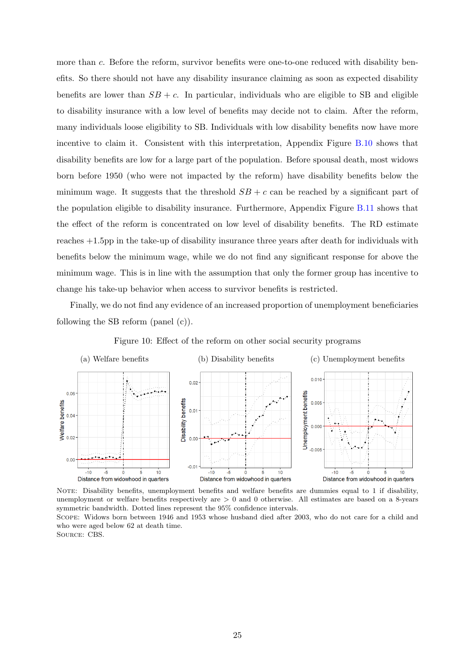more than c. Before the reform, survivor benefits were one-to-one reduced with disability benefits. So there should not have any disability insurance claiming as soon as expected disability benefits are lower than  $SB + c$ . In particular, individuals who are eligible to SB and eligible to disability insurance with a low level of benefits may decide not to claim. After the reform, many individuals loose eligibility to SB. Individuals with low disability benefits now have more incentive to claim it. Consistent with this interpretation, Appendix Figure [B.10](#page-42-1) shows that disability benefits are low for a large part of the population. Before spousal death, most widows born before 1950 (who were not impacted by the reform) have disability benefits below the minimum wage. It suggests that the threshold  $SB + c$  can be reached by a significant part of the population eligible to disability insurance. Furthermore, Appendix Figure [B.11](#page-43-0) shows that the effect of the reform is concentrated on low level of disability benefits. The RD estimate reaches +1.5pp in the take-up of disability insurance three years after death for individuals with benefits below the minimum wage, while we do not find any significant response for above the minimum wage. This is in line with the assumption that only the former group has incentive to change his take-up behavior when access to survivor benefits is restricted.

Finally, we do not find any evidence of an increased proportion of unemployment beneficiaries following the SB reform (panel (c)).

<span id="page-25-0"></span>

Figure 10: Effect of the reform on other social security programs

NOTE: Disability benefits, unemployment benefits and welfare benefits are dummies equal to 1 if disability, unemployment or welfare benefits respectively are  $> 0$  and 0 otherwise. All estimates are based on a 8-years symmetric bandwidth. Dotted lines represent the 95% confidence intervals.

Scope: Widows born between 1946 and 1953 whose husband died after 2003, who do not care for a child and who were aged below 62 at death time.

Source: CBS.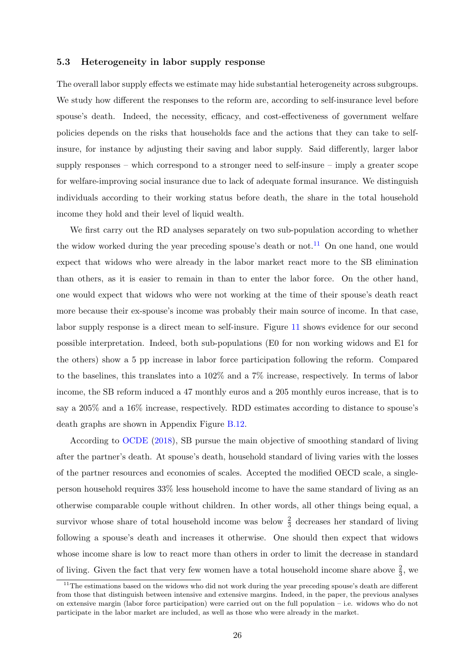#### <span id="page-26-0"></span>5.3 Heterogeneity in labor supply response

The overall labor supply effects we estimate may hide substantial heterogeneity across subgroups. We study how different the responses to the reform are, according to self-insurance level before spouse's death. Indeed, the necessity, efficacy, and cost-effectiveness of government welfare policies depends on the risks that households face and the actions that they can take to selfinsure, for instance by adjusting their saving and labor supply. Said differently, larger labor supply responses – which correspond to a stronger need to self-insure – imply a greater scope for welfare-improving social insurance due to lack of adequate formal insurance. We distinguish individuals according to their working status before death, the share in the total household income they hold and their level of liquid wealth.

We first carry out the RD analyses separately on two sub-population according to whether the widow worked during the year preceding spouse's death or not.<sup>[11](#page-1-0)</sup> On one hand, one would expect that widows who were already in the labor market react more to the SB elimination than others, as it is easier to remain in than to enter the labor force. On the other hand, one would expect that widows who were not working at the time of their spouse's death react more because their ex-spouse's income was probably their main source of income. In that case, labor supply response is a direct mean to self-insure. Figure [11](#page-27-0) shows evidence for our second possible interpretation. Indeed, both sub-populations (E0 for non working widows and E1 for the others) show a 5 pp increase in labor force participation following the reform. Compared to the baselines, this translates into a 102% and a 7% increase, respectively. In terms of labor income, the SB reform induced a 47 monthly euros and a 205 monthly euros increase, that is to say a 205% and a 16% increase, respectively. RDD estimates according to distance to spouse's death graphs are shown in Appendix Figure [B.12.](#page-43-1)

According to [OCDE](#page-32-1) [\(2018\)](#page-32-1), SB pursue the main objective of smoothing standard of living after the partner's death. At spouse's death, household standard of living varies with the losses of the partner resources and economies of scales. Accepted the modified OECD scale, a singleperson household requires 33% less household income to have the same standard of living as an otherwise comparable couple without children. In other words, all other things being equal, a survivor whose share of total household income was below  $\frac{2}{3}$  decreases her standard of living following a spouse's death and increases it otherwise. One should then expect that widows whose income share is low to react more than others in order to limit the decrease in standard of living. Given the fact that very few women have a total household income share above  $\frac{2}{3}$ , we

<sup>&</sup>lt;sup>11</sup>The estimations based on the widows who did not work during the year preceding spouse's death are different from those that distinguish between intensive and extensive margins. Indeed, in the paper, the previous analyses on extensive margin (labor force participation) were carried out on the full population – i.e. widows who do not participate in the labor market are included, as well as those who were already in the market.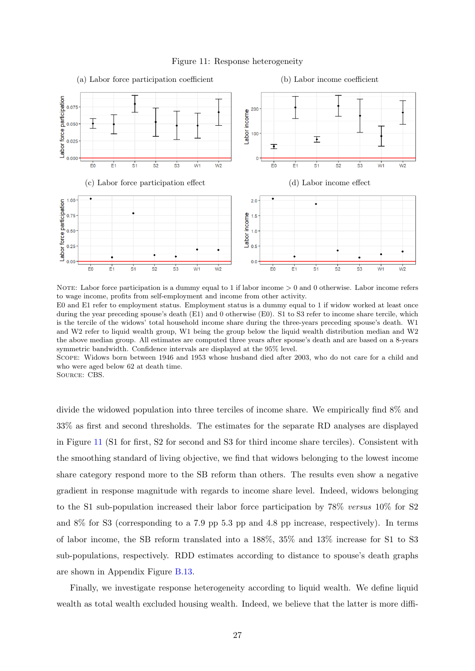<span id="page-27-0"></span>

Figure 11: Response heterogeneity

NOTE: Labor force participation is a dummy equal to 1 if labor income  $> 0$  and 0 otherwise. Labor income refers to wage income, profits from self-employment and income from other activity. E0 and E1 refer to employment status. Employment status is a dummy equal to 1 if widow worked at least once during the year preceding spouse's death (E1) and 0 otherwise (E0). S1 to S3 refer to income share tercile, which is the tercile of the widows' total household income share during the three-years preceding spouse's death. W1 and W2 refer to liquid wealth group, W1 being the group below the liquid wealth distribution median and W2 the above median group. All estimates are computed three years after spouse's death and are based on a 8-years symmetric bandwidth. Confidence intervals are displayed at the 95% level.

Scope: Widows born between 1946 and 1953 whose husband died after 2003, who do not care for a child and who were aged below 62 at death time.

Source: CBS.

divide the widowed population into three terciles of income share. We empirically find 8% and 33% as first and second thresholds. The estimates for the separate RD analyses are displayed in Figure [11](#page-27-0) (S1 for first, S2 for second and S3 for third income share terciles). Consistent with the smoothing standard of living objective, we find that widows belonging to the lowest income share category respond more to the SB reform than others. The results even show a negative gradient in response magnitude with regards to income share level. Indeed, widows belonging to the S1 sub-population increased their labor force participation by 78% versus 10% for S2 and 8% for S3 (corresponding to a 7.9 pp 5.3 pp and 4.8 pp increase, respectively). In terms of labor income, the SB reform translated into a 188%, 35% and 13% increase for S1 to S3 sub-populations, respectively. RDD estimates according to distance to spouse's death graphs are shown in Appendix Figure [B.13.](#page-44-0)

Finally, we investigate response heterogeneity according to liquid wealth. We define liquid wealth as total wealth excluded housing wealth. Indeed, we believe that the latter is more diffi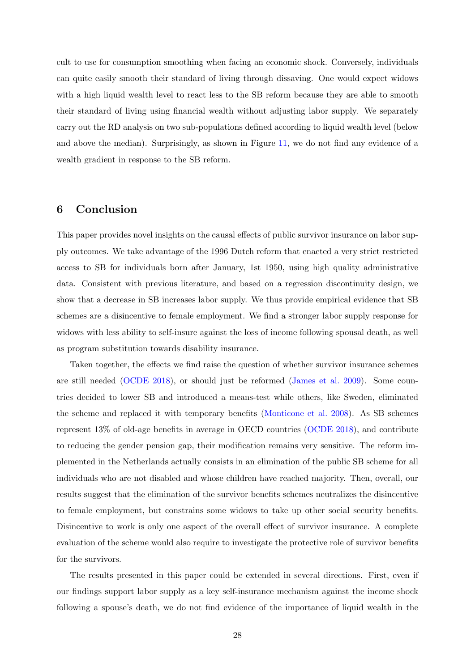cult to use for consumption smoothing when facing an economic shock. Conversely, individuals can quite easily smooth their standard of living through dissaving. One would expect widows with a high liquid wealth level to react less to the SB reform because they are able to smooth their standard of living using financial wealth without adjusting labor supply. We separately carry out the RD analysis on two sub-populations defined according to liquid wealth level (below and above the median). Surprisingly, as shown in Figure [11,](#page-27-0) we do not find any evidence of a wealth gradient in response to the SB reform.

# <span id="page-28-0"></span>6 Conclusion

This paper provides novel insights on the causal effects of public survivor insurance on labor supply outcomes. We take advantage of the 1996 Dutch reform that enacted a very strict restricted access to SB for individuals born after January, 1st 1950, using high quality administrative data. Consistent with previous literature, and based on a regression discontinuity design, we show that a decrease in SB increases labor supply. We thus provide empirical evidence that SB schemes are a disincentive to female employment. We find a stronger labor supply response for widows with less ability to self-insure against the loss of income following spousal death, as well as program substitution towards disability insurance.

Taken together, the effects we find raise the question of whether survivor insurance schemes are still needed [\(OCDE](#page-32-1) [2018\)](#page-32-1), or should just be reformed [\(James et al.](#page-31-10) [2009\)](#page-31-10). Some countries decided to lower SB and introduced a means-test while others, like Sweden, eliminated the scheme and replaced it with temporary benefits [\(Monticone et al.](#page-31-11) [2008\)](#page-31-11). As SB schemes represent 13% of old-age benefits in average in OECD countries [\(OCDE](#page-32-1) [2018\)](#page-32-1), and contribute to reducing the gender pension gap, their modification remains very sensitive. The reform implemented in the Netherlands actually consists in an elimination of the public SB scheme for all individuals who are not disabled and whose children have reached majority. Then, overall, our results suggest that the elimination of the survivor benefits schemes neutralizes the disincentive to female employment, but constrains some widows to take up other social security benefits. Disincentive to work is only one aspect of the overall effect of survivor insurance. A complete evaluation of the scheme would also require to investigate the protective role of survivor benefits for the survivors.

The results presented in this paper could be extended in several directions. First, even if our findings support labor supply as a key self-insurance mechanism against the income shock following a spouse's death, we do not find evidence of the importance of liquid wealth in the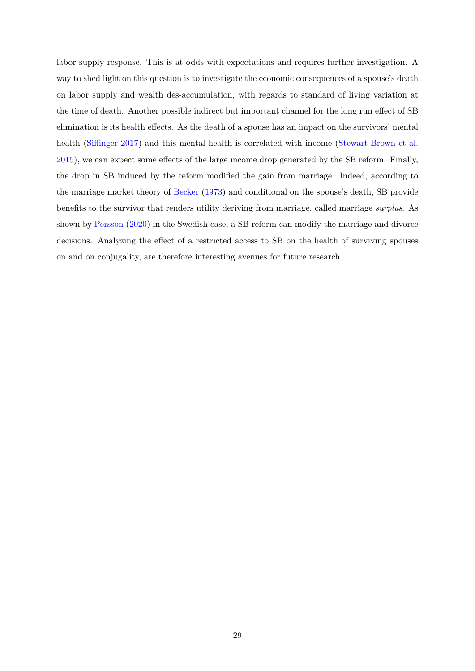labor supply response. This is at odds with expectations and requires further investigation. A way to shed light on this question is to investigate the economic consequences of a spouse's death on labor supply and wealth des-accumulation, with regards to standard of living variation at the time of death. Another possible indirect but important channel for the long run effect of SB elimination is its health effects. As the death of a spouse has an impact on the survivors' mental health [\(Siflinger](#page-32-0) [2017\)](#page-32-0) and this mental health is correlated with income [\(Stewart-Brown et al.](#page-32-10) [2015\)](#page-32-10), we can expect some effects of the large income drop generated by the SB reform. Finally, the drop in SB induced by the reform modified the gain from marriage. Indeed, according to the marriage market theory of [Becker](#page-30-11) [\(1973\)](#page-30-11) and conditional on the spouse's death, SB provide benefits to the survivor that renders utility deriving from marriage, called marriage surplus. As shown by [Persson](#page-32-11) [\(2020\)](#page-32-11) in the Swedish case, a SB reform can modify the marriage and divorce decisions. Analyzing the effect of a restricted access to SB on the health of surviving spouses on and on conjugality, are therefore interesting avenues for future research.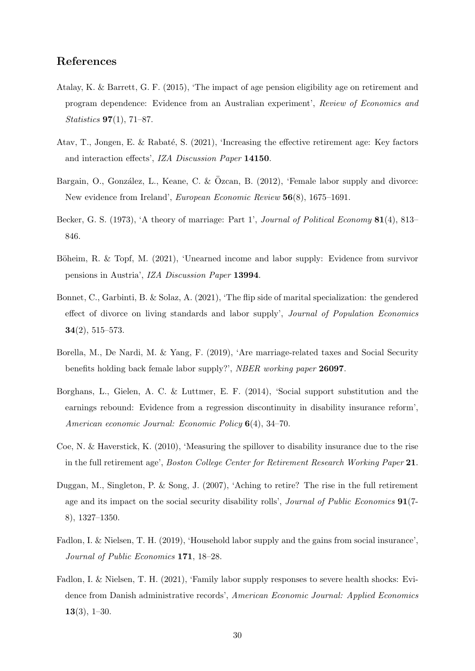# References

- <span id="page-30-9"></span>Atalay, K. & Barrett, G. F. (2015), 'The impact of age pension eligibility age on retirement and program dependence: Evidence from an Australian experiment', Review of Economics and Statistics 97(1), 71–87.
- <span id="page-30-10"></span>Atav, T., Jongen, E. & Rabaté, S. (2021), 'Increasing the effective retirement age: Key factors and interaction effects', IZA Discussion Paper 14150.
- <span id="page-30-1"></span>Bargain, O., González, L., Keane, C. & Özcan, B. (2012), 'Female labor supply and divorce: New evidence from Ireland', European Economic Review 56(8), 1675–1691.
- <span id="page-30-11"></span>Becker, G. S. (1973), 'A theory of marriage: Part 1', Journal of Political Economy 81(4), 813– 846.
- <span id="page-30-5"></span>Böheim, R. & Topf, M. (2021), 'Unearned income and labor supply: Evidence from survivor pensions in Austria', IZA Discussion Paper 13994.
- <span id="page-30-2"></span>Bonnet, C., Garbinti, B. & Solaz, A. (2021), 'The flip side of marital specialization: the gendered effect of divorce on living standards and labor supply', Journal of Population Economics 34(2), 515–573.
- <span id="page-30-4"></span>Borella, M., De Nardi, M. & Yang, F. (2019), 'Are marriage-related taxes and Social Security benefits holding back female labor supply?', NBER working paper 26097.
- <span id="page-30-8"></span>Borghans, L., Gielen, A. C. & Luttmer, E. F. (2014), 'Social support substitution and the earnings rebound: Evidence from a regression discontinuity in disability insurance reform', American economic Journal: Economic Policy 6(4), 34–70.
- <span id="page-30-7"></span>Coe, N. & Haverstick, K. (2010), 'Measuring the spillover to disability insurance due to the rise in the full retirement age', Boston College Center for Retirement Research Working Paper 21.
- <span id="page-30-6"></span>Duggan, M., Singleton, P. & Song, J. (2007), 'Aching to retire? The rise in the full retirement age and its impact on the social security disability rolls', *Journal of Public Economics* 91(7-8), 1327–1350.
- <span id="page-30-3"></span>Fadlon, I. & Nielsen, T. H. (2019), 'Household labor supply and the gains from social insurance', Journal of Public Economics 171, 18–28.
- <span id="page-30-0"></span>Fadlon, I. & Nielsen, T. H. (2021), 'Family labor supply responses to severe health shocks: Evidence from Danish administrative records', American Economic Journal: Applied Economics  $13(3), 1-30.$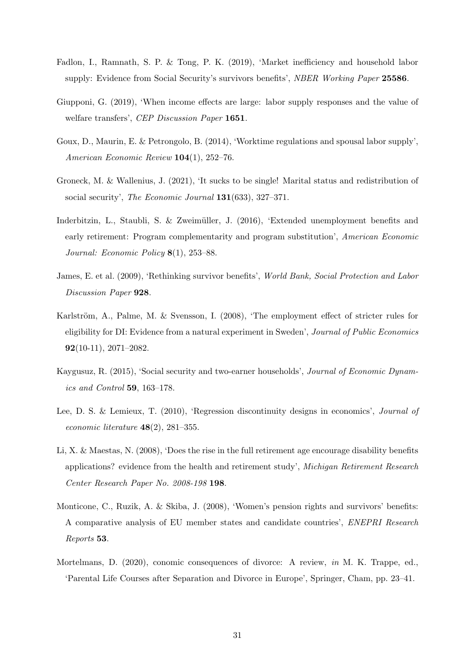- <span id="page-31-5"></span>Fadlon, I., Ramnath, S. P. & Tong, P. K. (2019), 'Market inefficiency and household labor supply: Evidence from Social Security's survivors benefits', NBER Working Paper 25586.
- <span id="page-31-1"></span>Giupponi, G. (2019), 'When income effects are large: labor supply responses and the value of welfare transfers', CEP Discussion Paper 1651.
- <span id="page-31-0"></span>Goux, D., Maurin, E. & Petrongolo, B. (2014), 'Worktime regulations and spousal labor supply', American Economic Review 104(1), 252–76.
- <span id="page-31-4"></span>Groneck, M. & Wallenius, J. (2021), 'It sucks to be single! Marital status and redistribution of social security', The Economic Journal 131(633), 327-371.
- <span id="page-31-8"></span>Inderbitzin, L., Staubli, S. & Zweimüller, J. (2016), 'Extended unemployment benefits and early retirement: Program complementarity and program substitution', American Economic Journal: Economic Policy 8(1), 253–88.
- <span id="page-31-10"></span>James, E. et al. (2009), 'Rethinking survivor benefits', World Bank, Social Protection and Labor Discussion Paper 928.
- <span id="page-31-6"></span>Karlström, A., Palme, M. & Svensson, I.  $(2008)$ , 'The employment effect of stricter rules for eligibility for DI: Evidence from a natural experiment in Sweden', Journal of Public Economics 92(10-11), 2071–2082.
- <span id="page-31-3"></span>Kaygusuz, R. (2015), 'Social security and two-earner households', Journal of Economic Dynamics and Control 59, 163–178.
- <span id="page-31-9"></span>Lee, D. S. & Lemieux, T. (2010), 'Regression discontinuity designs in economics', Journal of economic literature  $48(2)$ , 281–355.
- <span id="page-31-7"></span>Li, X. & Maestas, N. (2008), 'Does the rise in the full retirement age encourage disability benefits applications? evidence from the health and retirement study', Michigan Retirement Research Center Research Paper No. 2008-198 198.
- <span id="page-31-11"></span>Monticone, C., Ruzik, A. & Skiba, J. (2008), 'Women's pension rights and survivors' benefits: A comparative analysis of EU member states and candidate countries', ENEPRI Research Reports 53.
- <span id="page-31-2"></span>Mortelmans, D. (2020), conomic consequences of divorce: A review, in M. K. Trappe, ed., 'Parental Life Courses after Separation and Divorce in Europe', Springer, Cham, pp. 23–41.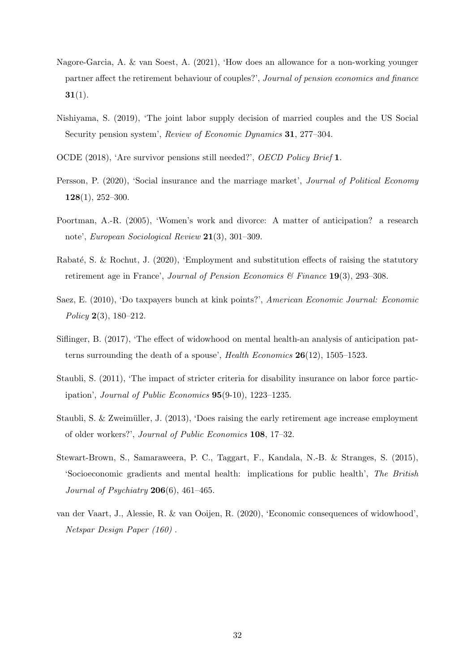- <span id="page-32-8"></span>Nagore-Garcia, A. & van Soest, A. (2021), 'How does an allowance for a non-working younger partner affect the retirement behaviour of couples?', Journal of pension economics and finance  $31(1)$ .
- <span id="page-32-4"></span>Nishiyama, S. (2019), 'The joint labor supply decision of married couples and the US Social Security pension system', Review of Economic Dynamics 31, 277–304.
- <span id="page-32-1"></span>OCDE (2018), 'Are survivor pensions still needed?', OECD Policy Brief 1.
- <span id="page-32-11"></span>Persson, P. (2020), 'Social insurance and the marriage market', Journal of Political Economy 128(1), 252–300.
- <span id="page-32-3"></span>Poortman, A.-R. (2005), 'Women's work and divorce: A matter of anticipation? a research note', European Sociological Review 21(3), 301–309.
- <span id="page-32-7"></span>Rabaté, S. & Rochut, J. (2020), 'Employment and substitution effects of raising the statutory retirement age in France', Journal of Pension Economics  $\mathcal{B}$  Finance 19(3), 293–308.
- <span id="page-32-9"></span>Saez, E. (2010), 'Do taxpayers bunch at kink points?', American Economic Journal: Economic Policy 2(3), 180–212.
- <span id="page-32-0"></span>Siflinger, B. (2017), 'The effect of widowhood on mental health-an analysis of anticipation patterns surrounding the death of a spouse', Health Economics 26(12), 1505–1523.
- <span id="page-32-5"></span>Staubli, S. (2011), 'The impact of stricter criteria for disability insurance on labor force participation', Journal of Public Economics 95(9-10), 1223–1235.
- <span id="page-32-6"></span>Staubli, S. & Zweimüller, J. (2013), 'Does raising the early retirement age increase employment of older workers?', Journal of Public Economics 108, 17–32.
- <span id="page-32-10"></span>Stewart-Brown, S., Samaraweera, P. C., Taggart, F., Kandala, N.-B. & Stranges, S. (2015), 'Socioeconomic gradients and mental health: implications for public health', The British Journal of Psychiatry  $206(6)$ , 461–465.
- <span id="page-32-2"></span>van der Vaart, J., Alessie, R. & van Ooijen, R. (2020), 'Economic consequences of widowhood', Netspar Design Paper (160) .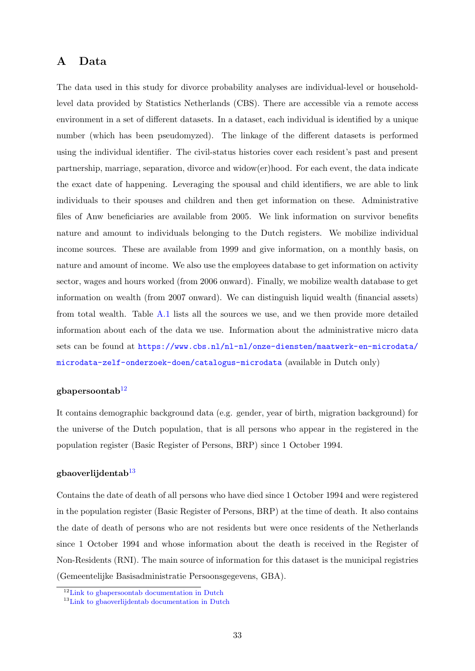# <span id="page-33-0"></span>A Data

The data used in this study for divorce probability analyses are individual-level or householdlevel data provided by Statistics Netherlands (CBS). There are accessible via a remote access environment in a set of different datasets. In a dataset, each individual is identified by a unique number (which has been pseudomyzed). The linkage of the different datasets is performed using the individual identifier. The civil-status histories cover each resident's past and present partnership, marriage, separation, divorce and widow(er)hood. For each event, the data indicate the exact date of happening. Leveraging the spousal and child identifiers, we are able to link individuals to their spouses and children and then get information on these. Administrative files of Anw beneficiaries are available from 2005. We link information on survivor benefits nature and amount to individuals belonging to the Dutch registers. We mobilize individual income sources. These are available from 1999 and give information, on a monthly basis, on nature and amount of income. We also use the employees database to get information on activity sector, wages and hours worked (from 2006 onward). Finally, we mobilize wealth database to get information on wealth (from 2007 onward). We can distinguish liquid wealth (financial assets) from total wealth. Table [A.1](#page-35-0) lists all the sources we use, and we then provide more detailed information about each of the data we use. Information about the administrative micro data sets can be found at [https://www.cbs.nl/nl-nl/onze-diensten/maatwerk-en-microdata/](https://www.cbs.nl/nl-nl/onze-diensten/maatwerk-en-microdata/microdata-zelf-onderzoek-doen/catalogus-microdata) [microdata-zelf-onderzoek-doen/catalogus-microdata](https://www.cbs.nl/nl-nl/onze-diensten/maatwerk-en-microdata/microdata-zelf-onderzoek-doen/catalogus-microdata) (available in Dutch only)

# gbapersoontab $12$

It contains demographic background data (e.g. gender, year of birth, migration background) for the universe of the Dutch population, that is all persons who appear in the registered in the population register (Basic Register of Persons, BRP) since 1 October 1994.

#### gbaoverlijdentab $13$

Contains the date of death of all persons who have died since 1 October 1994 and were registered in the population register (Basic Register of Persons, BRP) at the time of death. It also contains the date of death of persons who are not residents but were once residents of the Netherlands since 1 October 1994 and whose information about the death is received in the Register of Non-Residents (RNI). The main source of information for this dataset is the municipal registries (Gemeentelijke Basisadministratie Persoonsgegevens, GBA).

<sup>&</sup>lt;sup>12</sup>[Link to gbapersoontab documentation in Dutch](#page-1-0)

<sup>&</sup>lt;sup>13</sup>[Link to gbaoverlijdentab documentation in Dutch](#page-1-0)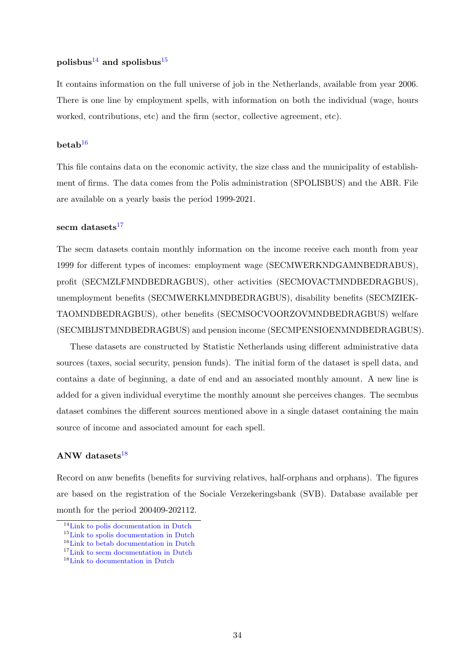### polisbus<sup>[14](#page-1-0)</sup> and spolisbus<sup>[15](#page-1-0)</sup>

It contains information on the full universe of job in the Netherlands, available from year 2006. There is one line by employment spells, with information on both the individual (wage, hours worked, contributions, etc) and the firm (sector, collective agreement, etc).

#### $beta<sup>16</sup>$  $beta<sup>16</sup>$  $beta<sup>16</sup>$

This file contains data on the economic activity, the size class and the municipality of establishment of firms. The data comes from the Polis administration (SPOLISBUS) and the ABR. File are available on a yearly basis the period 1999-2021.

## secm datasets $17$

The secm datasets contain monthly information on the income receive each month from year 1999 for different types of incomes: employment wage (SECMWERKNDGAMNBEDRABUS), profit (SECMZLFMNDBEDRAGBUS), other activities (SECMOVACTMNDBEDRAGBUS), unemployment benefits (SECMWERKLMNDBEDRAGBUS), disability benefits (SECMZIEK-TAOMNDBEDRAGBUS), other benefits (SECMSOCVOORZOVMNDBEDRAGBUS) welfare (SECMBIJSTMNDBEDRAGBUS) and pension income (SECMPENSIOENMNDBEDRAGBUS).

These datasets are constructed by Statistic Netherlands using different administrative data sources (taxes, social security, pension funds). The initial form of the dataset is spell data, and contains a date of beginning, a date of end and an associated monthly amount. A new line is added for a given individual everytime the monthly amount she perceives changes. The secmbus dataset combines the different sources mentioned above in a single dataset containing the main source of income and associated amount for each spell.

# ANW datasets $18$

Record on anw benefits (benefits for surviving relatives, half-orphans and orphans). The figures are based on the registration of the Sociale Verzekeringsbank (SVB). Database available per month for the period 200409-202112.

<sup>&</sup>lt;sup>14</sup>[Link to polis documentation in Dutch](#page-1-0)

<sup>15</sup>[Link to spolis documentation in Dutch](#page-1-0)

<sup>16</sup>[Link to betab documentation in Dutch](#page-1-0)

<sup>17</sup>[Link to secm documentation in Dutch](#page-1-0)

<sup>&</sup>lt;sup>18</sup>[Link to documentation in Dutch](#page-1-0)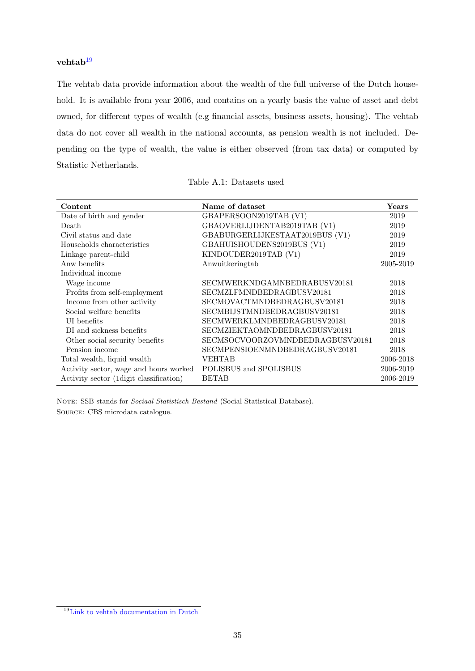# vehtab $19$

The vehtab data provide information about the wealth of the full universe of the Dutch household. It is available from year 2006, and contains on a yearly basis the value of asset and debt owned, for different types of wealth (e.g financial assets, business assets, housing). The vehtab data do not cover all wealth in the national accounts, as pension wealth is not included. Depending on the type of wealth, the value is either observed (from tax data) or computed by Statistic Netherlands.

<span id="page-35-0"></span>

| Content                                  | Name of dataset                  | Years     |
|------------------------------------------|----------------------------------|-----------|
| Date of birth and gender                 | GBAPERSOON2019TAB (V1)           | 2019      |
| Death                                    | GBAOVERLIJDENTAB2019TAB (V1)     | 2019      |
| Civil status and date                    | GBABURGERLIJKESTAAT2019BUS (V1)  | 2019      |
| Households characteristics               | GBAHUISHOUDENS2019BUS (V1)       | 2019      |
| Linkage parent-child                     | KINDOUDER2019TAB (V1)            | 2019      |
| Anw benefits                             | Anwuitkeringtab                  | 2005-2019 |
| Individual income                        |                                  |           |
| Wage income                              | SECMWERKNDGAMNBEDRABUSV20181     | 2018      |
| Profits from self-employment             | SECMZLFMNDBEDRAGBUSV20181        | 2018      |
| Income from other activity               | SECMOVACTMNDBEDRAGBUSV20181      | 2018      |
| Social welfare benefits                  | SECMBIJSTMNDBEDRAGBUSV20181      | 2018      |
| UI benefits                              | SECMWERKLMNDBEDRAGBUSV20181      | 2018      |
| DI and sickness benefits                 | SECMZIEKTAOMNDBEDRAGBUSV20181    | 2018      |
| Other social security benefits           | SECMSOCVOORZOVMNDBEDRAGBUSV20181 | 2018      |
| Pension income                           | SECMPENSIOENMNDBEDRAGBUSV20181   | 2018      |
| Total wealth, liquid wealth              | VEHTAB                           | 2006-2018 |
| Activity sector, wage and hours worked   | POLISBUS and SPOLISBUS           | 2006-2019 |
| Activity sector (1 digit classification) | <b>BETAB</b>                     | 2006-2019 |

NOTE: SSB stands for Sociaal Statistisch Bestand (Social Statistical Database). Source: CBS microdata catalogue.

<sup>19</sup>[Link to vehtab documentation in Dutch](#page-1-0)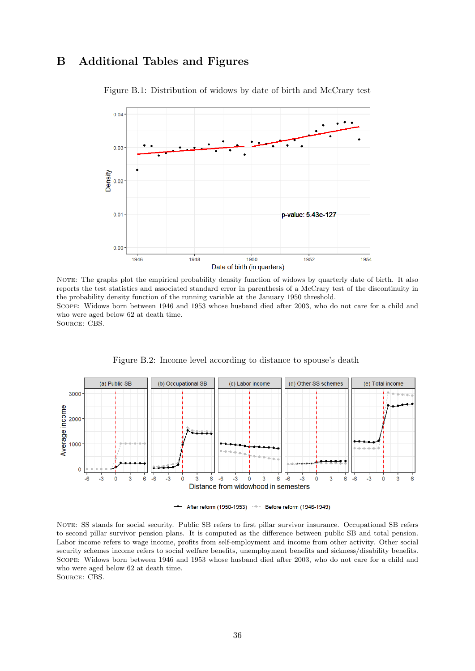# <span id="page-36-0"></span>B Additional Tables and Figures



Figure B.1: Distribution of widows by date of birth and McCrary test

NOTE: The graphs plot the empirical probability density function of widows by quarterly date of birth. It also reports the test statistics and associated standard error in parenthesis of a McCrary test of the discontinuity in the probability density function of the running variable at the January 1950 threshold. Scope: Widows born between 1946 and 1953 whose husband died after 2003, who do not care for a child and who were aged below 62 at death time. Source: CBS.

<span id="page-36-1"></span>

Figure B.2: Income level according to distance to spouse's death

+ After reform (1950-1953) + Before reform (1946-1949)

NOTE: SS stands for social security. Public SB refers to first pillar survivor insurance. Occupational SB refers to second pillar survivor pension plans. It is computed as the difference between public SB and total pension. Labor income refers to wage income, profits from self-employment and income from other activity. Other social security schemes income refers to social welfare benefits, unemployment benefits and sickness/disability benefits. Scope: Widows born between 1946 and 1953 whose husband died after 2003, who do not care for a child and who were aged below 62 at death time. Source: CBS.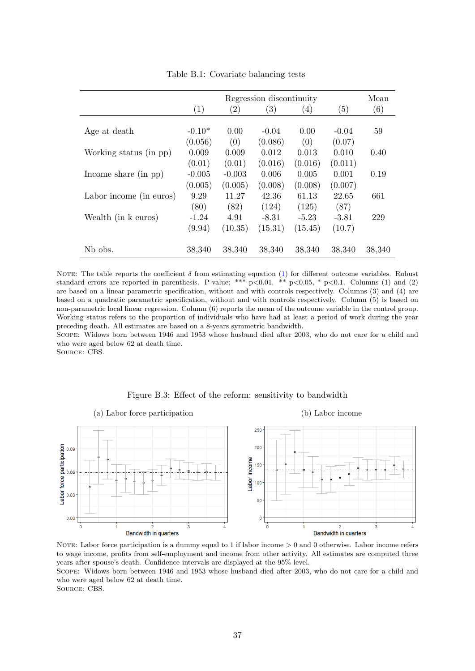<span id="page-37-0"></span>

|                         |                   | Mean              |                   |         |         |        |
|-------------------------|-------------------|-------------------|-------------------|---------|---------|--------|
|                         | $\left( 1\right)$ | $\left( 2\right)$ | $\left( 3\right)$ | (4)     | (5)     | (6)    |
|                         |                   |                   |                   |         |         |        |
| Age at death            | $-0.10*$          | 0.00              | $-0.04$           | 0.00    | $-0.04$ | 59     |
|                         | (0.056)           | (0)               | (0.086)           | (0)     | (0.07)  |        |
| Working status (in pp)  | 0.009             | 0.009             | 0.012             | 0.013   | 0.010   | 0.40   |
|                         | (0.01)            | (0.01)            | (0.016)           | (0.016) | (0.011) |        |
| Income share $(in pp)$  | $-0.005$          | $-0.003$          | 0.006             | 0.005   | 0.001   | 0.19   |
|                         | (0.005)           | (0.005)           | (0.008)           | (0.008) | (0.007) |        |
| Labor income (in euros) | 9.29              | 11.27             | 42.36             | 61.13   | 22.65   | 661    |
|                         | (80)              | (82)              | (124)             | (125)   | (87)    |        |
| Wealth (in k euros)     | $-1.24$           | 4.91              | $-8.31$           | $-5.23$ | $-3.81$ | 229    |
|                         | (9.94)            | (10.35)           | (15.31)           | (15.45) | (10.7)  |        |
| N <sub>b</sub> obs.     | 38,340            | 38,340            | 38,340            | 38,340  | 38,340  | 38,340 |

Table B.1: Covariate balancing tests

NOTE: The table reports the coefficient  $\delta$  from estimating equation [\(1\)](#page-10-1) for different outcome variables. Robust standard errors are reported in parenthesis. P-value: \*\*\*  $p<0.01$ . \*\*  $p<0.05$ , \*  $p<0.1$ . Columns (1) and (2) are based on a linear parametric specification, without and with controls respectively. Columns (3) and (4) are based on a quadratic parametric specification, without and with controls respectively. Column (5) is based on non-parametric local linear regression. Column (6) reports the mean of the outcome variable in the control group. Working status refers to the proportion of individuals who have had at least a period of work during the year preceding death. All estimates are based on a 8-years symmetric bandwidth.

Scope: Widows born between 1946 and 1953 whose husband died after 2003, who do not care for a child and who were aged below 62 at death time.

Source: CBS.

<span id="page-37-1"></span>

Figure B.3: Effect of the reform: sensitivity to bandwidth

NOTE: Labor force participation is a dummy equal to 1 if labor income  $> 0$  and 0 otherwise. Labor income refers to wage income, profits from self-employment and income from other activity. All estimates are computed three years after spouse's death. Confidence intervals are displayed at the 95% level.

Scope: Widows born between 1946 and 1953 whose husband died after 2003, who do not care for a child and who were aged below 62 at death time.

SOURCE: CBS.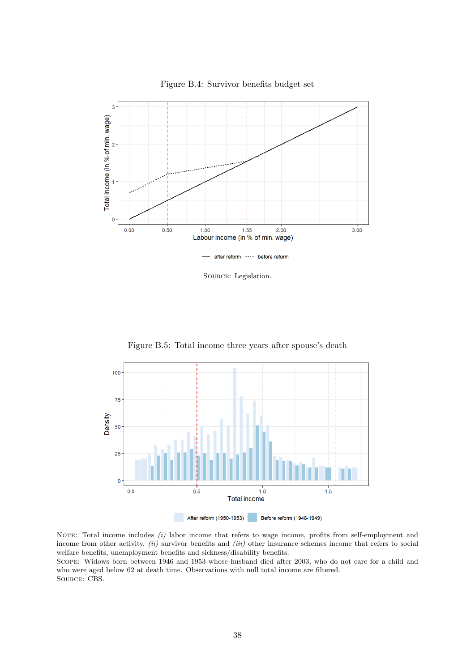<span id="page-38-0"></span>

Figure B.4: Survivor benefits budget set

Source: Legislation.

<span id="page-38-1"></span>100 75 Density 50 25  $\mathbf 0$  $0.0$  $0.5$  $1.0$  $1.5$ **Total income** After reform (1950-1953) Before reform (1946-1949)

Figure B.5: Total income three years after spouse's death

NOTE: Total income includes (i) labor income that refers to wage income, profits from self-employment and income from other activity, (ii) survivor benefits and (iii) other insurance schemes income that refers to social welfare benefits, unemployment benefits and sickness/disability benefits.

Scope: Widows born between 1946 and 1953 whose husband died after 2003, who do not care for a child and who were aged below 62 at death time. Observations with null total income are filtered. Source: CBS.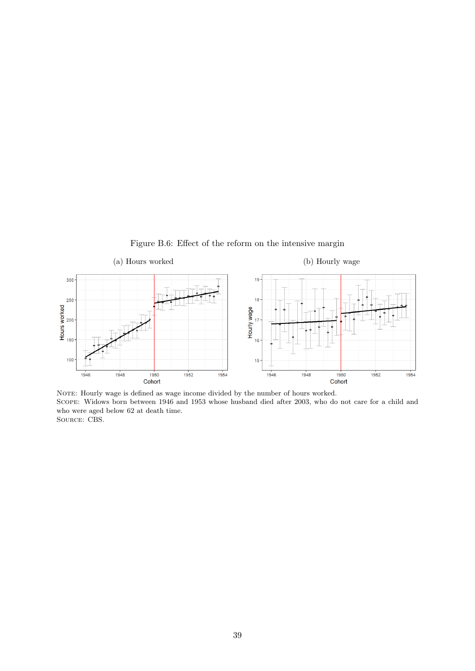Figure B.6: Effect of the reform on the intensive margin



NOTE: Hourly wage is defined as wage income divided by the number of hours worked. Scope: Widows born between 1946 and 1953 whose husband died after 2003, who do not care for a child and who were aged below 62 at death time. SOURCE: CBS.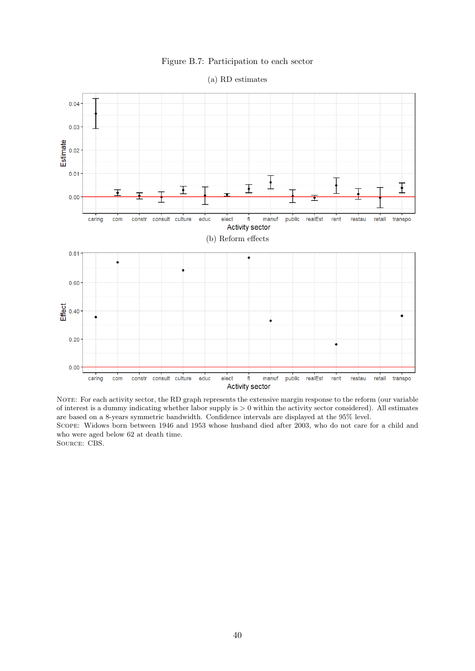#### Figure B.7: Participation to each sector

<span id="page-40-0"></span>

(a) RD estimates

NOTE: For each activity sector, the RD graph represents the extensive margin response to the reform (our variable of interest is a dummy indicating whether labor supply is  $> 0$  within the activity sector considered). All estimates are based on a 8-years symmetric bandwidth. Confidence intervals are displayed at the 95% level. Scope: Widows born between 1946 and 1953 whose husband died after 2003, who do not care for a child and who were aged below 62 at death time. Source: CBS.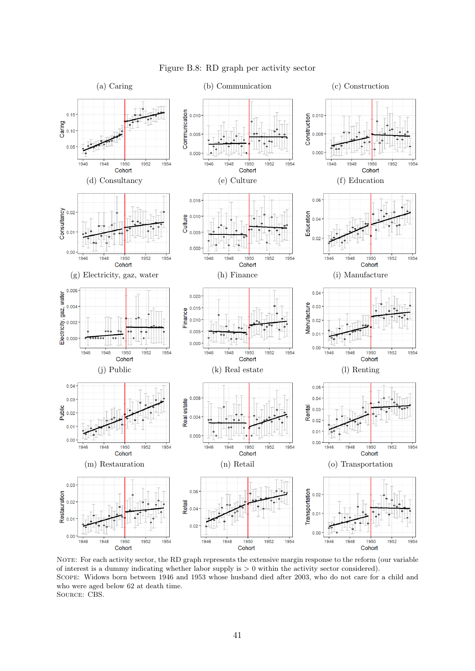<span id="page-41-0"></span>

Figure B.8: RD graph per activity sector

NOTE: For each activity sector, the RD graph represents the extensive margin response to the reform (our variable of interest is a dummy indicating whether labor supply is  $> 0$  within the activity sector considered). Scope: Widows born between 1946 and 1953 whose husband died after 2003, who do not care for a child and who were aged below 62 at death time. Source: CBS.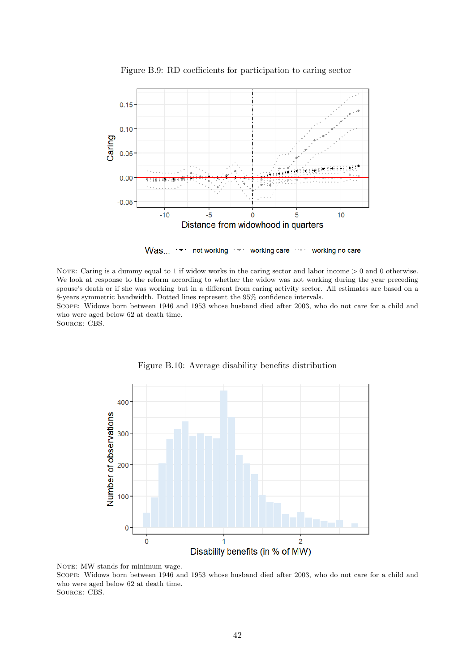<span id="page-42-0"></span>

Figure B.9: RD coefficients for participation to caring sector

 $Was...$ not working working care working no care

NOTE: Caring is a dummy equal to 1 if widow works in the caring sector and labor income  $> 0$  and 0 otherwise. We look at response to the reform according to whether the widow was not working during the year preceding spouse's death or if she was working but in a different from caring activity sector. All estimates are based on a 8-years symmetric bandwidth. Dotted lines represent the 95% confidence intervals.

Scope: Widows born between 1946 and 1953 whose husband died after 2003, who do not care for a child and who were aged below 62 at death time.

<span id="page-42-1"></span>Source: CBS.



Figure B.10: Average disability benefits distribution

NOTE: MW stands for minimum wage.

Scope: Widows born between 1946 and 1953 whose husband died after 2003, who do not care for a child and who were aged below 62 at death time.

Source: CBS.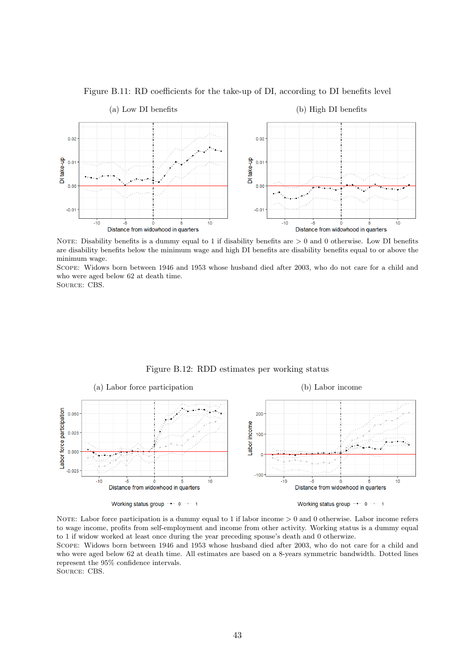<span id="page-43-0"></span>

Figure B.11: RD coefficients for the take-up of DI, according to DI benefits level

NOTE: Disability benefits is a dummy equal to 1 if disability benefits are  $> 0$  and 0 otherwise. Low DI benefits are disability benefits below the minimum wage and high DI benefits are disability benefits equal to or above the minimum wage.

Scope: Widows born between 1946 and 1953 whose husband died after 2003, who do not care for a child and who were aged below 62 at death time.

Source: CBS.

<span id="page-43-1"></span>

Figure B.12: RDD estimates per working status

NOTE: Labor force participation is a dummy equal to 1 if labor income  $> 0$  and 0 otherwise. Labor income refers to wage income, profits from self-employment and income from other activity. Working status is a dummy equal to 1 if widow worked at least once during the year preceding spouse's death and 0 otherwize.

Scope: Widows born between 1946 and 1953 whose husband died after 2003, who do not care for a child and who were aged below 62 at death time. All estimates are based on a 8-years symmetric bandwidth. Dotted lines represent the 95% confidence intervals.

SOURCE: CBS.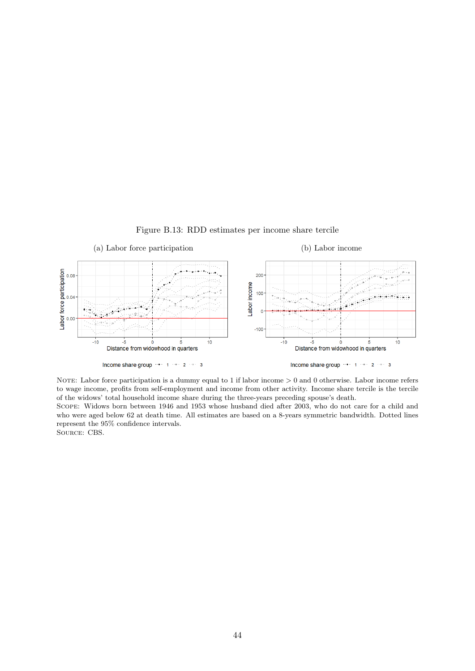<span id="page-44-0"></span>

Figure B.13: RDD estimates per income share tercile

NOTE: Labor force participation is a dummy equal to 1 if labor income  $> 0$  and 0 otherwise. Labor income refers to wage income, profits from self-employment and income from other activity. Income share tercile is the tercile of the widows' total household income share during the three-years preceding spouse's death.

Scope: Widows born between 1946 and 1953 whose husband died after 2003, who do not care for a child and who were aged below 62 at death time. All estimates are based on a 8-years symmetric bandwidth. Dotted lines represent the 95% confidence intervals. SOURCE: CBS.